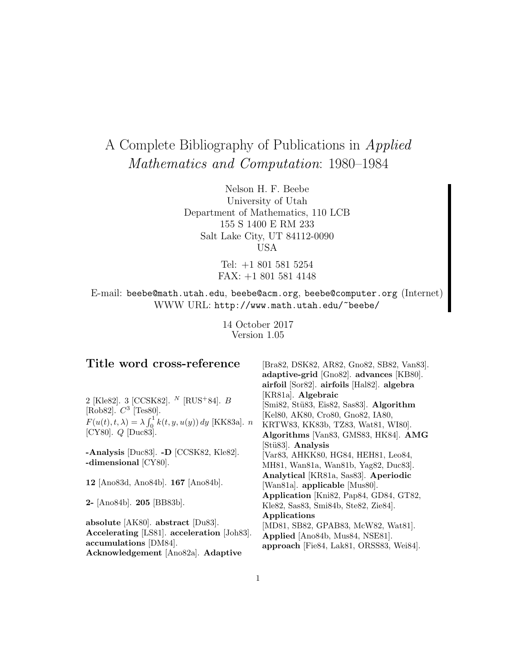# A Complete Bibliography of Publications in Applied Mathematics and Computation: 1980–1984

Nelson H. F. Beebe University of Utah Department of Mathematics, 110 LCB 155 S 1400 E RM 233 Salt Lake City, UT 84112-0090 USA

> Tel: +1 801 581 5254 FAX: +1 801 581 4148

E-mail: beebe@math.utah.edu, beebe@acm.org, beebe@computer.org (Internet) WWW URL: http://www.math.utah.edu/~beebe/

> 14 October 2017 Version 1.05

## **Title word cross-reference**

2 [Kle82]. 3 [CCSK82].  $^{N}$  [RUS<sup>+</sup>84]. *B* [Rob82].  $C^3$  [Tes80].  $F(u(t), t, \lambda) = \lambda \int_0^1 k(t, y, u(y)) dy$  [KK83a]. *n* [CY80].  $Q$  [Duc83].

**-Analysis** [Duc83]. **-D** [CCSK82, Kle82]. **-dimensional** [CY80].

**12** [Ano83d, Ano84b]. **167** [Ano84b].

**2-** [Ano84b]. **205** [BB83b].

**absolute** [AK80]. **abstract** [Du83]. **Accelerating** [LS81]. **acceleration** [Joh83]. **accumulations** [DM84]. **Acknowledgement** [Ano82a]. **Adaptive**

[Bra82, DSK82, AR82, Gno82, SB82, Van83]. **adaptive-grid** [Gno82]. **advances** [KB80]. **airfoil** [Sor82]. **airfoils** [Hal82]. **algebra** [KR81a]. **Algebraic** [Smi82, Stü83, Eis82, Sas83]. Algorithm [Kel80, AK80, Cro80, Gno82, IA80, KRTW83, KK83b, TZ83, Wat81, WI80]. **Algorithms** [Van83, GMS83, HK84]. **AMG** [St¨u83]. **Analysis** [Var83, AHKK80, HG84, HEH81, Leo84, MH81, Wan81a, Wan81b, Yag82, Duc83]. **Analytical** [KR81a, Sas83]. **Aperiodic** [Wan81a]. **applicable** [Mus80]. **Application** [Kni82, Pap84, GD84, GT82, Kle82, Sas83, Smi84b, Ste82, Zie84]. **Applications** [MD81, SB82, GPAB83, McW82, Wat81]. **Applied** [Ano84b, Mus84, NSE81]. **approach** [Fie84, Lak81, ORSS83, Wei84].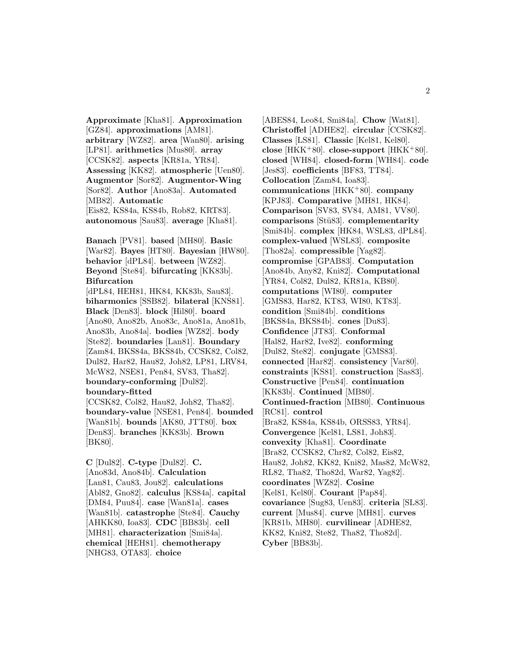**Approximate** [Kha81]. **Approximation** [GZ84]. **approximations** [AM81]. **arbitrary** [WZ82]. **area** [Wan80]. **arising** [LP81]. **arithmetics** [Mus80]. **array** [CCSK82]. **aspects** [KR81a, YR84]. **Assessing** [KK82]. **atmospheric** [Uen80]. **Augmentor** [Sor82]. **Augmentor-Wing** [Sor82]. **Author** [Ano83a]. **Automated** [MB82]. **Automatic** [Eis82, KS84a, KS84b, Rob82, KRT83]. **autonomous** [Sau83]. **average** [Kha81].

**Banach** [PV81]. **based** [MH80]. **Basic** [War82]. **Bayes** [HT80]. **Bayesian** [HW80]. **behavior** [dPL84]. **between** [WZ82]. **Beyond** [Ste84]. **bifurcating** [KK83b]. **Bifurcation**

[dPL84, HEH81, HK84, KK83b, Sau83]. **biharmonics** [SSB82]. **bilateral** [KNS81]. **Black** [Den83]. **block** [Hil80]. **board** [Ano80, Ano82b, Ano83c, Ano81a, Ano81b, Ano83b, Ano84a]. **bodies** [WZ82]. **body** [Ste82]. **boundaries** [Lan81]. **Boundary** [Zam84, BKS84a, BKS84b, CCSK82, Col82, Dul82, Har82, Hau82, Joh82, LP81, LRV84, McW82, NSE81, Pen84, SV83, Tha82]. **boundary-conforming** [Dul82]. **boundary-fitted**

[CCSK82, Col82, Hau82, Joh82, Tha82]. **boundary-value** [NSE81, Pen84]. **bounded** [Wan81b]. **bounds** [AK80, JTT80]. **box** [Den83]. **branches** [KK83b]. **Brown** [BK80].

**C** [Dul82]. **C-type** [Dul82]. **C.** [Ano83d, Ano84b]. **Calculation** [Lan81, Cau83, Jou82]. **calculations** [Abl82, Gno82]. **calculus** [KS84a]. **capital** [DM84, Puu84]. **case** [Wan81a]. **cases** [Wan81b]. **catastrophe** [Ste84]. **Cauchy** [AHKK80, Ioa83]. **CDC** [BB83b]. **cell** [MH81]. **characterization** [Smi84a]. **chemical** [HEH81]. **chemotherapy** [NHG83, OTA83]. **choice**

[ABES84, Leo84, Smi84a]. **Chow** [Wat81]. **Christoffel** [ADHE82]. **circular** [CCSK82]. **Classes** [LS81]. **Classic** [Kel81, Kel80]. **close** [HKK<sup>+</sup>80]. **close-support** [HKK<sup>+</sup>80]. **closed** [WH84]. **closed-form** [WH84]. **code** [Jes83]. **coefficients** [BF83, TT84]. **Collocation** [Zam84, Ioa83]. **communications** [HKK<sup>+</sup>80]. **company** [KPJ83]. **Comparative** [MH81, HK84]. **Comparison** [SV83, SV84, AM81, VV80]. **comparisons** [St¨u83]. **complementarity** [Smi84b]. **complex** [HK84, WSL83, dPL84]. **complex-valued** [WSL83]. **composite** [Tho82a]. **compressible** [Yag82]. **compromise** [GPAB83]. **Computation** [Ano84b, Any82, Kni82]. **Computational** [YR84, Col82, Dul82, KR81a, KB80]. **computations** [WI80]. **computer** [GMS83, Har82, KT83, WI80, KT83]. **condition** [Smi84b]. **conditions** [BKS84a, BKS84b]. **cones** [Du83]. **Confidence** [JT83]. **Conformal** [Hal82, Har82, Ive82]. **conforming** [Dul82, Ste82]. **conjugate** [GMS83]. **connected** [Har82]. **consistency** [Var80]. **constraints** [KS81]. **construction** [Sas83]. **Constructive** [Pen84]. **continuation** [KK83b]. **Continued** [MB80]. **Continued-fraction** [MB80]. **Continuous** [RC81]. **control** [Bra82, KS84a, KS84b, ORSS83, YR84]. **Convergence** [Kel81, LS81, Joh83]. **convexity** [Kha81]. **Coordinate** [Bra82, CCSK82, Chr82, Col82, Eis82, Hau82, Joh82, KK82, Kni82, Mas82, McW82, RL82, Tha82, Tho82d, War82, Yag82]. **coordinates** [WZ82]. **Cosine** [Kel81, Kel80]. **Courant** [Pap84]. **covariance** [Sug83, Uen83]. **criteria** [SL83]. **current** [Mus84]. **curve** [MH81]. **curves** [KR81b, MH80]. **curvilinear** [ADHE82, KK82, Kni82, Ste82, Tha82, Tho82d]. **Cyber** [BB83b].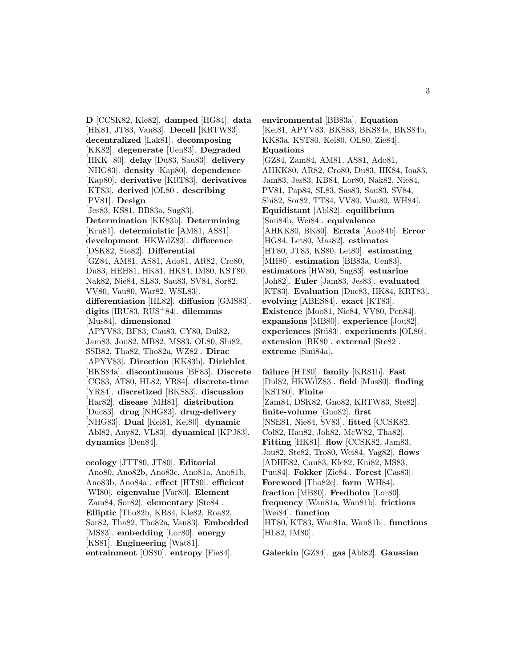**D** [CCSK82, Kle82]. **damped** [HG84]. **data** [HK81, JT83, Van83]. **Decell** [KRTW83]. **decentralized** [Lak81]. **decomposing** [KK82]. **degenerate** [Uen83]. **Degraded** [HKK<sup>+</sup>80]. **delay** [Du83, Sau83]. **delivery** [NHG83]. **density** [Kap80]. **dependence** [Kap80]. **derivative** [KRT83]. **derivatives** [KT83]. **derived** [OL80]. **describing** [PV81]. **Design** [Jes83, KS81, BB83a, Sug83]. **Determination** [KK83b]. **Determining** [Kru81]. **deterministic** [AM81, AS81]. **development** [HKWdZ83]. **difference** [DSK82, Ste82]. **Differential** [GZ84, AM81, AS81, Ado81, AR82, Cro80, Du83, HEH81, HK81, HK84, IM80, KST80, Nak82, Nie84, SL83, Sau83, SV84, Sor82, VV80, Vau80, War82, WSL83]. **differentiation** [HL82]. **diffusion** [GMS83]. **digits** [IRU83, RUS<sup>+</sup>84]. **dilemmas** [Mus84]. **dimensional** [APYV83, BF83, Cau83, CY80, Dul82, Jam83, Jou82, MB82, MS83, OL80, Shi82, SSB82, Tha82, Tho82a, WZ82]. **Dirac** [APYV83]. **Direction** [KK83b]. **Dirichlet** [BKS84a]. **discontinuous** [BF83]. **Discrete** [CG83, AT80, HL82, YR84]. **discrete-time** [YR84]. **discretized** [BKS83]. **discussion** [Har82]. **disease** [MH81]. **distribution** [Duc83]. **drug** [NHG83]. **drug-delivery** [NHG83]. **Dual** [Kel81, Kel80]. **dynamic** [Abl82, Any82, VL83]. **dynamical** [KPJ83]. **dynamics** [Den84].

**ecology** [JTT80, JT80]. **Editorial** [Ano80, Ano82b, Ano83c, Ano81a, Ano81b, Ano83b, Ano84a]. **effect** [HT80]. **efficient** [WI80]. **eigenvalue** [Var80]. **Element** [Zam84, Sor82]. **elementary** [Ste84]. **Elliptic** [Tho82b, KB84, Kle82, Roa82, Sor82, Tha82, Tho82a, Van83]. **Embedded** [MS83]. **embedding** [Lor80]. **energy** [KS81]. **Engineering** [Wat81]. **entrainment** [OS80]. **entropy** [Fie84].

**environmental** [BB83a]. **Equation** [Kel81, APYV83, BKS83, BKS84a, BKS84b, KK83a, KST80, Kel80, OL80, Zie84]. **Equations** [GZ84, Zam84, AM81, AS81, Ado81, AHKK80, AR82, Cro80, Du83, HK84, Ioa83, Jam83, Jes83, KB84, Lor80, Nak82, Nie84, PV81, Pap84, SL83, Sas83, Sau83, SV84, Shi82, Sor82, TT84, VV80, Vau80, WH84]. **Equidistant** [Abl82]. **equilibrium** [Smi84b, Wei84]. **equivalence** [AHKK80, BK80]. **Errata** [Ano84b]. **Error** [HG84, Let80, Mas82]. **estimates** [HT80, JT83, KS80, Let80]. **estimating** [MH80]. **estimation** [BB83a, Uen83]. **estimators** [HW80, Sug83]. **estuarine** [Joh82]. **Euler** [Jam83, Jes83]. **evaluated** [KT83]. **Evaluation** [Duc83, HK84, KRT83]. **evolving** [ABES84]. **exact** [KT83]. **Existence** [Moo81, Nie84, VV80, Pen84]. **expansions** [MB80]. **experience** [Jou82]. **experiences** [Stü83]. **experiments** [OL80]. **extension** [BK80]. **external** [Ste82]. **extreme** [Smi84a].

**failure** [HT80]. **family** [KR81b]. **Fast** [Dul82, HKWdZ83]. **field** [Mus80]. **finding** [KST80]. **Finite** [Zam84, DSK82, Gno82, KRTW83, Ste82]. **finite-volume** [Gno82]. **first** [NSE81, Nie84, SV83]. **fitted** [CCSK82, Col82, Hau82, Joh82, McW82, Tha82]. **Fitting** [HK81]. **flow** [CCSK82, Jam83, Jou82, Ste82, Tro80, Wei84, Yag82]. **flows** [ADHE82, Cau83, Kle82, Kni82, MS83, Puu84]. **Fokker** [Zie84]. **Forest** [Cas83]. **Foreword** [Tho82c]. **form** [WH84]. **fraction** [MB80]. **Fredholm** [Lor80]. **frequency** [Wan81a, Wan81b]. **frictions** [Wei84]. **function** [HT80, KT83, Wan81a, Wan81b]. **functions** [HL82, IM80].

**Galerkin** [GZ84]. **gas** [Abl82]. **Gaussian**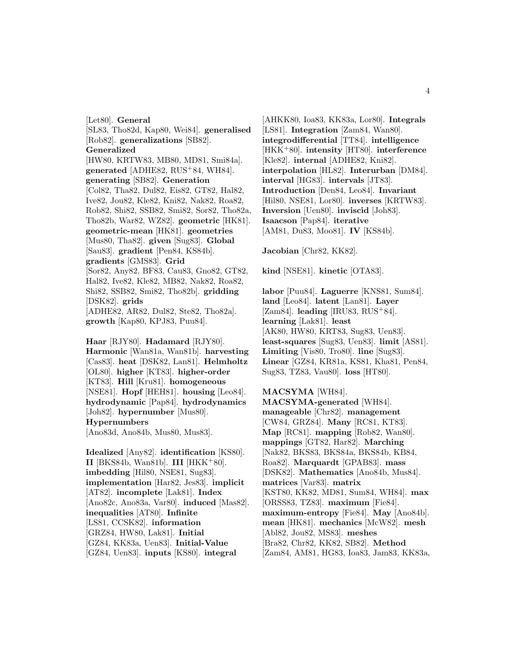[Let80]. **General** [SL83, Tho82d, Kap80, Wei84]. **generalised** [Rob82]. **generalizations** [SB82]. **Generalized** [HW80, KRTW83, MB80, MD81, Smi84a]. **generated** [ADHE82, RUS<sup>+</sup>84, WH84]. **generating** [SB82]. **Generation** [Col82, Tha82, Dul82, Eis82, GT82, Hal82, Ive82, Jou82, Kle82, Kni82, Nak82, Roa82, Rob82, Shi82, SSB82, Smi82, Sor82, Tho82a, Tho82b, War82, WZ82]. **geometric** [HK81]. **geometric-mean** [HK81]. **geometries** [Mus80, Tha82]. **given** [Sug83]. **Global** [Sau83]. **gradient** [Pen84, KS84b]. **gradients** [GMS83]. **Grid** [Sor82, Any82, BF83, Cau83, Gno82, GT82, Hal82, Ive82, Kle82, MB82, Nak82, Roa82, Shi82, SSB82, Smi82, Tho82b]. **gridding** [DSK82]. **grids** [ADHE82, AR82, Dul82, Ste82, Tho82a]. **growth** [Kap80, KPJ83, Puu84].

**Haar** [RJY80]. **Hadamard** [RJY80]. **Harmonic** [Wan81a, Wan81b]. **harvesting** [Cas83]. **heat** [DSK82, Lan81]. **Helmholtz** [OL80]. **higher** [KT83]. **higher-order** [KT83]. **Hill** [Kru81]. **homogeneous** [NSE81]. **Hopf** [HEH81]. **housing** [Leo84]. **hydrodynamic** [Pap84]. **hydrodynamics** [Joh82]. **hypernumber** [Mus80]. **Hypernumbers** [Ano83d, Ano84b, Mus80, Mus83].

**Idealized** [Any82]. **identification** [KS80]. **II** [BKS84b, Wan81b]. **III** [HKK<sup>+</sup>80]. **imbedding** [Hil80, NSE81, Sug83]. **implementation** [Har82, Jes83]. **implicit** [AT82]. **incomplete** [Lak81]. **Index** [Ano82c, Ano83a, Var80]. **induced** [Mas82]. **inequalities** [AT80]. **Infinite** [LS81, CCSK82]. **information** [GRZ84, HW80, Lak81]. **Initial** [GZ84, KK83a, Uen83]. **Initial-Value** [GZ84, Uen83]. **inputs** [KS80]. **integral**

[AHKK80, Ioa83, KK83a, Lor80]. **Integrals** [LS81]. **Integration** [Zam84, Wan80]. **integrodifferential** [TT84]. **intelligence** [HKK<sup>+</sup>80]. **intensity** [HT80]. **interference** [Kle82]. **internal** [ADHE82, Kni82]. **interpolation** [HL82]. **Interurban** [DM84]. **interval** [HG83]. **intervals** [JT83]. **Introduction** [Den84, Leo84]. **Invariant** [Hil80, NSE81, Lor80]. **inverses** [KRTW83]. **Inversion** [Uen80]. **inviscid** [Joh83]. **Isaacson** [Pap84]. **iterative** [AM81, Du83, Moo81]. **IV** [KS84b].

**Jacobian** [Chr82, KK82].

**kind** [NSE81]. **kinetic** [OTA83].

**labor** [Puu84]. **Laguerre** [KNS81, Sum84]. **land** [Leo84]. **latent** [Lan81]. **Layer** [Zam84]. **leading** [IRU83, RUS<sup>+</sup>84]. **learning** [Lak81]. **least** [AK80, HW80, KRT83, Sug83, Uen83]. **least-squares** [Sug83, Uen83]. **limit** [AS81]. **Limiting** [Vis80, Tro80]. **line** [Sug83]. **Linear** [GZ84, KR81a, KS81, Kha81, Pen84, Sug83, TZ83, Vau80]. **loss** [HT80].

#### **MACSYMA** [WH84].

**MACSYMA-generated** [WH84]. **manageable** [Chr82]. **management** [CW84, GRZ84]. **Many** [RC81, KT83]. **Map** [RC81]. **mapping** [Rob82, Wan80]. **mappings** [GT82, Har82]. **Marching** [Nak82, BKS83, BKS84a, BKS84b, KB84, Roa82]. **Marquardt** [GPAB83]. **mass** [DSK82]. **Mathematics** [Ano84b, Mus84]. **matrices** [Var83]. **matrix** [KST80, KK82, MD81, Sum84, WH84]. **max** [ORSS83, TZ83]. **maximum** [Fie84]. **maximum-entropy** [Fie84]. **May** [Ano84b]. **mean** [HK81]. **mechanics** [McW82]. **mesh** [Abl82, Jou82, MS83]. **meshes** [Bra82, Chr82, KK82, SB82]. **Method** [Zam84, AM81, HG83, Ioa83, Jam83, KK83a,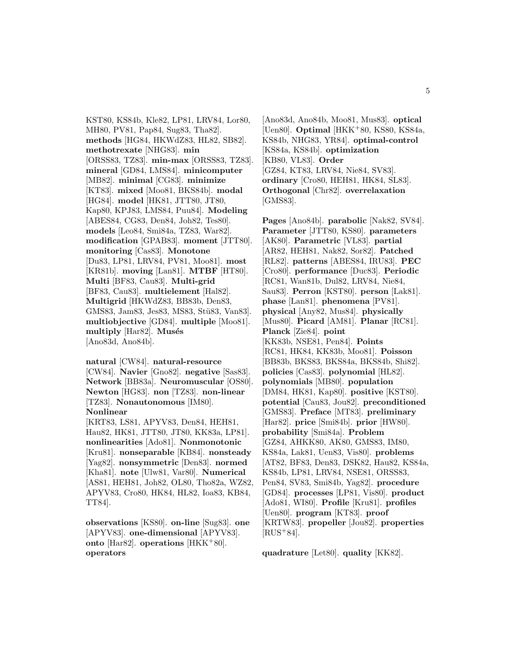KST80, KS84b, Kle82, LP81, LRV84, Lor80, MH80, PV81, Pap84, Sug83, Tha82]. **methods** [HG84, HKWdZ83, HL82, SB82]. **methotrexate** [NHG83]. **min** [ORSS83, TZ83]. **min-max** [ORSS83, TZ83]. **mineral** [GD84, LMS84]. **minicomputer** [MB82]. **minimal** [CG83]. **minimize** [KT83]. **mixed** [Moo81, BKS84b]. **modal** [HG84]. **model** [HK81, JTT80, JT80, Kap80, KPJ83, LMS84, Puu84]. **Modeling** [ABES84, CG83, Den84, Joh82, Tes80]. **models** [Leo84, Smi84a, TZ83, War82]. **modification** [GPAB83]. **moment** [JTT80]. **monitoring** [Cas83]. **Monotone** [Du83, LP81, LRV84, PV81, Moo81]. **most** [KR81b]. **moving** [Lan81]. **MTBF** [HT80]. **Multi** [BF83, Cau83]. **Multi-grid** [BF83, Cau83]. **multielement** [Hal82]. **Multigrid** [HKWdZ83, BB83b, Den83, GMS83, Jam83, Jes83, MS83, Stü83, Van83. **multiobjective** [GD84]. **multiple** [Moo81]. multiply [Har82]. Musés [Ano83d, Ano84b].

**natural** [CW84]. **natural-resource** [CW84]. **Navier** [Gno82]. **negative** [Sas83]. **Network** [BB83a]. **Neuromuscular** [OS80]. **Newton** [HG83]. **non** [TZ83]. **non-linear** [TZ83]. **Nonautonomous** [IM80]. **Nonlinear**

[KRT83, LS81, APYV83, Den84, HEH81, Hau82, HK81, JTT80, JT80, KK83a, LP81]. **nonlinearities** [Ado81]. **Nonmonotonic** [Kru81]. **nonseparable** [KB84]. **nonsteady** [Yag82]. **nonsymmetric** [Den83]. **normed** [Kha81]. **note** [Ulw81, Var80]. **Numerical** [AS81, HEH81, Joh82, OL80, Tho82a, WZ82, APYV83, Cro80, HK84, HL82, Ioa83, KB84, TT84].

**observations** [KS80]. **on-line** [Sug83]. **one** [APYV83]. **one-dimensional** [APYV83]. **onto** [Har82]. **operations** [HKK<sup>+</sup>80]. **operators**

[Ano83d, Ano84b, Moo81, Mus83]. **optical** [Uen80]. **Optimal** [HKK<sup>+</sup>80, KS80, KS84a, KS84b, NHG83, YR84]. **optimal-control** [KS84a, KS84b]. **optimization** [KB80, VL83]. **Order** [GZ84, KT83, LRV84, Nie84, SV83]. **ordinary** [Cro80, HEH81, HK84, SL83]. **Orthogonal** [Chr82]. **overrelaxation** [GMS83].

**Pages** [Ano84b]. **parabolic** [Nak82, SV84]. **Parameter** [JTT80, KS80]. **parameters** [AK80]. **Parametric** [VL83]. **partial** [AR82, HEH81, Nak82, Sor82]. **Patched** [RL82]. **patterns** [ABES84, IRU83]. **PEC** [Cro80]. **performance** [Duc83]. **Periodic** [RC81, Wan81b, Dul82, LRV84, Nie84, Sau83]. **Perron** [KST80]. **person** [Lak81]. **phase** [Lan81]. **phenomena** [PV81]. **physical** [Any82, Mus84]. **physically** [Mus80]. **Picard** [AM81]. **Planar** [RC81]. **Planck** [Zie84]. **point** [KK83b, NSE81, Pen84]. **Points** [RC81, HK84, KK83b, Moo81]. **Poisson** [BB83b, BKS83, BKS84a, BKS84b, Shi82]. **policies** [Cas83]. **polynomial** [HL82]. **polynomials** [MB80]. **population** [DM84, HK81, Kap80]. **positive** [KST80]. **potential** [Cau83, Jou82]. **preconditioned** [GMS83]. **Preface** [MT83]. **preliminary** [Har82]. **price** [Smi84b]. **prior** [HW80]. **probability** [Smi84a]. **Problem** [GZ84, AHKK80, AK80, GMS83, IM80, KS84a, Lak81, Uen83, Vis80]. **problems** [AT82, BF83, Den83, DSK82, Hau82, KS84a, KS84b, LP81, LRV84, NSE81, ORSS83, Pen84, SV83, Smi84b, Yag82]. **procedure** [GD84]. **processes** [LP81, Vis80]. **product** [Ado81, WI80]. **Profile** [Kru81]. **profiles** [Uen80]. **program** [KT83]. **proof** [KRTW83]. **propeller** [Jou82]. **properties**  $[RUS^+84]$ .

**quadrature** [Let80]. **quality** [KK82].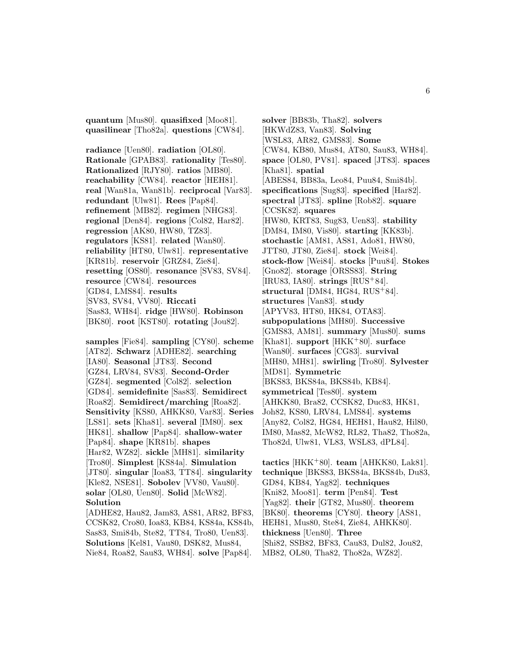**quantum** [Mus80]. **quasifixed** [Moo81]. **quasilinear** [Tho82a]. **questions** [CW84].

**radiance** [Uen80]. **radiation** [OL80]. **Rationale** [GPAB83]. **rationality** [Tes80]. **Rationalized** [RJY80]. **ratios** [MB80]. **reachability** [CW84]. **reactor** [HEH81]. **real** [Wan81a, Wan81b]. **reciprocal** [Var83]. **redundant** [Ulw81]. **Rees** [Pap84]. **refinement** [MB82]. **regimen** [NHG83]. **regional** [Den84]. **regions** [Col82, Har82]. **regression** [AK80, HW80, TZ83]. **regulators** [KS81]. **related** [Wan80]. **reliability** [HT80, Ulw81]. **representative** [KR81b]. **reservoir** [GRZ84, Zie84]. **resetting** [OS80]. **resonance** [SV83, SV84]. **resource** [CW84]. **resources** [GD84, LMS84]. **results** [SV83, SV84, VV80]. **Riccati** [Sas83, WH84]. **ridge** [HW80]. **Robinson** [BK80]. **root** [KST80]. **rotating** [Jou82].

**samples** [Fie84]. **sampling** [CY80]. **scheme** [AT82]. **Schwarz** [ADHE82]. **searching** [IA80]. **Seasonal** [JT83]. **Second** [GZ84, LRV84, SV83]. **Second-Order** [GZ84]. **segmented** [Col82]. **selection** [GD84]. **semidefinite** [Sas83]. **Semidirect** [Roa82]. **Semidirect/marching** [Roa82]. **Sensitivity** [KS80, AHKK80, Var83]. **Series** [LS81]. **sets** [Kha81]. **several** [IM80]. **sex** [HK81]. **shallow** [Pap84]. **shallow-water** [Pap84]. **shape** [KR81b]. **shapes** [Har82, WZ82]. **sickle** [MH81]. **similarity** [Tro80]. **Simplest** [KS84a]. **Simulation** [JT80]. **singular** [Ioa83, TT84]. **singularity** [Kle82, NSE81]. **Sobolev** [VV80, Vau80]. **solar** [OL80, Uen80]. **Solid** [McW82]. **Solution** [ADHE82, Hau82, Jam83, AS81, AR82, BF83, CCSK82, Cro80, Ioa83, KB84, KS84a, KS84b,

Sas83, Smi84b, Ste82, TT84, Tro80, Uen83]. **Solutions** [Kel81, Vau80, DSK82, Mus84, Nie84, Roa82, Sau83, WH84]. **solve** [Pap84].

**solver** [BB83b, Tha82]. **solvers** [HKWdZ83, Van83]. **Solving** [WSL83, AR82, GMS83]. **Some** [CW84, KB80, Mus84, AT80, Sau83, WH84]. **space** [OL80, PV81]. **spaced** [JT83]. **spaces** [Kha81]. **spatial** [ABES84, BB83a, Leo84, Puu84, Smi84b]. **specifications** [Sug83]. **specified** [Har82]. **spectral** [JT83]. **spline** [Rob82]. **square** [CCSK82]. **squares** [HW80, KRT83, Sug83, Uen83]. **stability** [DM84, IM80, Vis80]. **starting** [KK83b]. **stochastic** [AM81, AS81, Ado81, HW80, JTT80, JT80, Zie84]. **stock** [Wei84]. **stock-flow** [Wei84]. **stocks** [Puu84]. **Stokes** [Gno82]. **storage** [ORSS83]. **String** [IRU83, IA80]. **strings** [RUS<sup>+</sup>84]. **structural** [DM84, HG84, RUS<sup>+</sup>84]. **structures** [Van83]. **study** [APYV83, HT80, HK84, OTA83]. **subpopulations** [MH80]. **Successive** [GMS83, AM81]. **summary** [Mus80]. **sums** [Kha81]. **support** [HKK<sup>+</sup>80]. **surface** [Wan80]. **surfaces** [CG83]. **survival** [MH80, MH81]. **swirling** [Tro80]. **Sylvester** [MD81]. **Symmetric** [BKS83, BKS84a, BKS84b, KB84]. **symmetrical** [Tes80]. **system** [AHKK80, Bra82, CCSK82, Duc83, HK81, Joh82, KS80, LRV84, LMS84]. **systems** [Any82, Col82, HG84, HEH81, Hau82, Hil80, IM80, Mas82, McW82, RL82, Tha82, Tho82a, Tho82d, Ulw81, VL83, WSL83, dPL84].

**tactics** [HKK<sup>+</sup>80]. **team** [AHKK80, Lak81]. **technique** [BKS83, BKS84a, BKS84b, Du83, GD84, KB84, Yag82]. **techniques** [Kni82, Moo81]. **term** [Pen84]. **Test** [Yag82]. **their** [GT82, Mus80]. **theorem** [BK80]. **theorems** [CY80]. **theory** [AS81, HEH81, Mus80, Ste84, Zie84, AHKK80]. **thickness** [Uen80]. **Three** [Shi82, SSB82, BF83, Cau83, Dul82, Jou82, MB82, OL80, Tha82, Tho82a, WZ82].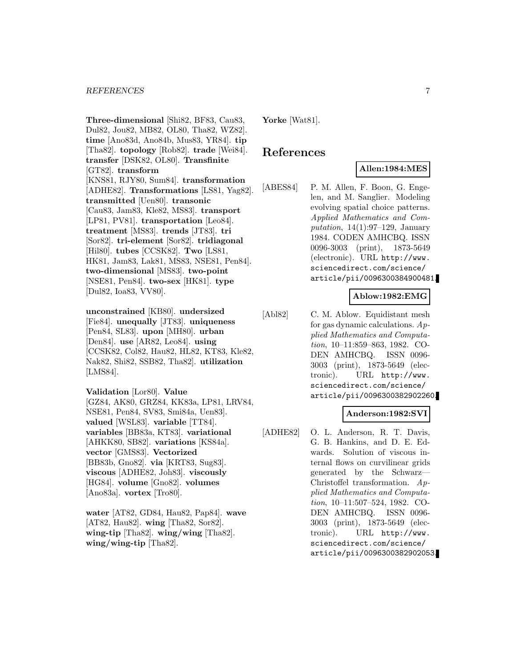#### *REFERENCES* 7

**Three-dimensional** [Shi82, BF83, Cau83, Dul82, Jou82, MB82, OL80, Tha82, WZ82]. **time** [Ano83d, Ano84b, Mus83, YR84]. **tip** [Tha82]. **topology** [Rob82]. **trade** [Wei84]. **transfer** [DSK82, OL80]. **Transfinite** [GT82]. **transform** [KNS81, RJY80, Sum84]. **transformation** [ADHE82]. **Transformations** [LS81, Yag82]. **transmitted** [Uen80]. **transonic** [Cau83, Jam83, Kle82, MS83]. **transport** [LP81, PV81]. **transportation** [Leo84]. **treatment** [MS83]. **trends** [JT83]. **tri** [Sor82]. **tri-element** [Sor82]. **tridiagonal** [Hil80]. **tubes** [CCSK82]. **Two** [LS81, HK81, Jam83, Lak81, MS83, NSE81, Pen84]. **two-dimensional** [MS83]. **two-point** [NSE81, Pen84]. **two-sex** [HK81]. **type** [Dul82, Ioa83, VV80].

**unconstrained** [KB80]. **undersized** [Fie84]. **unequally** [JT83]. **uniqueness** [Pen84, SL83]. **upon** [MH80]. **urban** [Den84]. **use** [AR82, Leo84]. **using** [CCSK82, Col82, Hau82, HL82, KT83, Kle82, Nak82, Shi82, SSB82, Tha82]. **utilization** [LMS84].

**Validation** [Lor80]. **Value** [GZ84, AK80, GRZ84, KK83a, LP81, LRV84, NSE81, Pen84, SV83, Smi84a, Uen83]. **valued** [WSL83]. **variable** [TT84]. **variables** [BB83a, KT83]. **variational** [AHKK80, SB82]. **variations** [KS84a]. **vector** [GMS83]. **Vectorized** [BB83b, Gno82]. **via** [KRT83, Sug83]. **viscous** [ADHE82, Joh83]. **viscously** [HG84]. **volume** [Gno82]. **volumes** [Ano83a]. **vortex** [Tro80].

**water** [AT82, GD84, Hau82, Pap84]. **wave** [AT82, Hau82]. **wing** [Tha82, Sor82]. **wing-tip** [Tha82]. **wing/wing** [Tha82]. **wing/wing-tip** [Tha82].

**Yorke** [Wat81].

## **References**

## **Allen:1984:MES**

[ABES84] P. M. Allen, F. Boon, G. Engelen, and M. Sanglier. Modeling evolving spatial choice patterns. Applied Mathematics and Computation,  $14(1):97-129$ , January 1984. CODEN AMHCBQ. ISSN 0096-3003 (print), 1873-5649 (electronic). URL http://www. sciencedirect.com/science/ article/pii/0096300384900481.

#### **Ablow:1982:EMG**

[Abl82] C. M. Ablow. Equidistant mesh for gas dynamic calculations.  $Ap$ plied Mathematics and Computation, 10–11:859–863, 1982. CO-DEN AMHCBQ. ISSN 0096- 3003 (print), 1873-5649 (electronic). URL http://www. sciencedirect.com/science/ article/pii/0096300382902260.

#### **Anderson:1982:SVI**

[ADHE82] O. L. Anderson, R. T. Davis, G. B. Hankins, and D. E. Edwards. Solution of viscous internal flows on curvilinear grids generated by the Schwarz— Christoffel transformation. Applied Mathematics and Computation, 10–11:507–524, 1982. CO-DEN AMHCBQ. ISSN 0096- 3003 (print), 1873-5649 (electronic). URL http://www. sciencedirect.com/science/ article/pii/0096300382902053.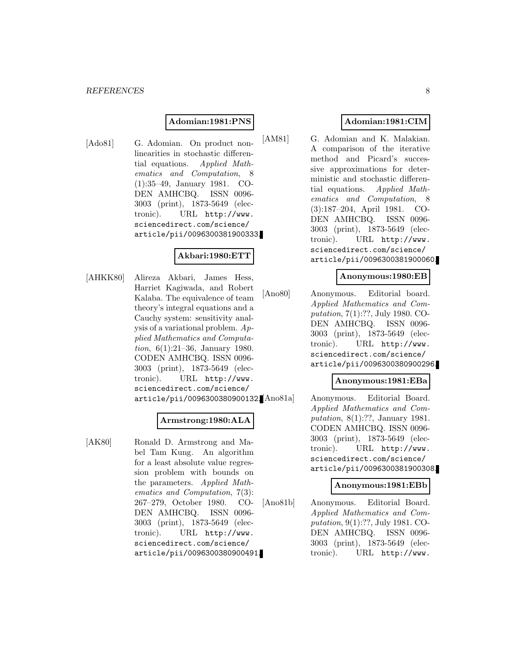#### **Adomian:1981:PNS**

[Ado81] G. Adomian. On product nonlinearities in stochastic differential equations. Applied Mathematics and Computation, 8 (1):35–49, January 1981. CO-DEN AMHCBQ. ISSN 0096- 3003 (print), 1873-5649 (electronic). URL http://www. sciencedirect.com/science/ article/pii/0096300381900333.

## **Akbari:1980:ETT**

[AHKK80] Alireza Akbari, James Hess, Harriet Kagiwada, and Robert Kalaba. The equivalence of team theory's integral equations and a Cauchy system: sensitivity analysis of a variational problem. Applied Mathematics and Computation, 6(1):21–36, January 1980. CODEN AMHCBQ. ISSN 0096- 3003 (print), 1873-5649 (electronic). URL http://www. sciencedirect.com/science/ article/pii/0096300380900132.

## **Armstrong:1980:ALA**

[AK80] Ronald D. Armstrong and Mabel Tam Kung. An algorithm for a least absolute value regression problem with bounds on the parameters. Applied Mathematics and Computation, 7(3): 267–279, October 1980. CO-DEN AMHCBQ. ISSN 0096- 3003 (print), 1873-5649 (electronic). URL http://www. sciencedirect.com/science/ article/pii/0096300380900491.

## **Adomian:1981:CIM**

[AM81] G. Adomian and K. Malakian. A comparison of the iterative method and Picard's successive approximations for deterministic and stochastic differential equations. Applied Mathematics and Computation, 8 (3):187–204, April 1981. CO-DEN AMHCBQ. ISSN 0096- 3003 (print), 1873-5649 (electronic). URL http://www. sciencedirect.com/science/ article/pii/0096300381900060.

#### **Anonymous:1980:EB**

[Ano80] Anonymous. Editorial board. Applied Mathematics and Computation, 7(1):??, July 1980. CO-DEN AMHCBQ. ISSN 0096- 3003 (print), 1873-5649 (electronic). URL http://www. sciencedirect.com/science/ article/pii/0096300380900296.

#### **Anonymous:1981:EBa**

Anonymous. Editorial Board. Applied Mathematics and Computation, 8(1):??, January 1981. CODEN AMHCBQ. ISSN 0096- 3003 (print), 1873-5649 (electronic). URL http://www. sciencedirect.com/science/ article/pii/0096300381900308.

#### **Anonymous:1981:EBb**

[Ano81b] Anonymous. Editorial Board. Applied Mathematics and Computation, 9(1):??, July 1981. CO-DEN AMHCBQ. ISSN 0096- 3003 (print), 1873-5649 (electronic). URL http://www.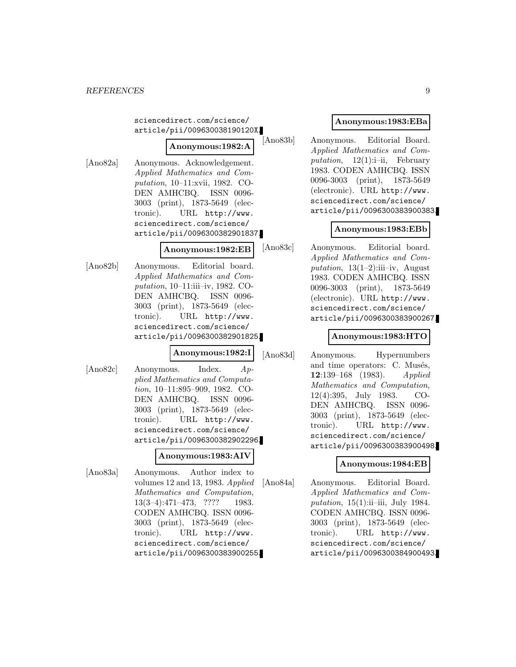sciencedirect.com/science/ article/pii/009630038190120X.

## **Anonymous:1982:A**

[Ano82a] Anonymous. Acknowledgement. Applied Mathematics and Computation, 10–11:xvii, 1982. CO-DEN AMHCBQ. ISSN 0096- 3003 (print), 1873-5649 (electronic). URL http://www. sciencedirect.com/science/ article/pii/0096300382901837.

#### **Anonymous:1982:EB**

[Ano82b] Anonymous. Editorial board. Applied Mathematics and Computation, 10–11:iii–iv, 1982. CO-DEN AMHCBQ. ISSN 0096- 3003 (print), 1873-5649 (electronic). URL http://www. sciencedirect.com/science/ article/pii/0096300382901825.

#### **Anonymous:1982:I**

[Ano82c] Anonymous. Index. Applied Mathematics and Computation, 10–11:895–909, 1982. CO-DEN AMHCBQ. ISSN 0096- 3003 (print), 1873-5649 (electronic). URL http://www. sciencedirect.com/science/ article/pii/0096300382902296.

## **Anonymous:1983:AIV**

[Ano83a] Anonymous. Author index to volumes 12 and 13, 1983. Applied Mathematics and Computation, 13(3–4):471–473, ???? 1983. CODEN AMHCBQ. ISSN 0096- 3003 (print), 1873-5649 (electronic). URL http://www. sciencedirect.com/science/ article/pii/0096300383900255.

## **Anonymous:1983:EBa**

[Ano83b] Anonymous. Editorial Board. Applied Mathematics and Computation,  $12(1)$ :i-ii, February 1983. CODEN AMHCBQ. ISSN 0096-3003 (print), 1873-5649 (electronic). URL http://www. sciencedirect.com/science/ article/pii/0096300383900383.

## **Anonymous:1983:EBb**

[Ano83c] Anonymous. Editorial board. Applied Mathematics and Computation,  $13(1-2)$ :iii–iv, August 1983. CODEN AMHCBQ. ISSN 0096-3003 (print), 1873-5649 (electronic). URL http://www. sciencedirect.com/science/ article/pii/0096300383900267.

## **Anonymous:1983:HTO**

[Ano83d] Anonymous. Hypernumbers and time operators: C. Musés, **12**:139–168 (1983). Applied Mathematics and Computation, 12(4):395, July 1983. CO-DEN AMHCBQ. ISSN 0096- 3003 (print), 1873-5649 (electronic). URL http://www. sciencedirect.com/science/ article/pii/0096300383900498.

## **Anonymous:1984:EB**

[Ano84a] Anonymous. Editorial Board. Applied Mathematics and Computation,  $15(1)$ :ii–iii, July 1984. CODEN AMHCBQ. ISSN 0096- 3003 (print), 1873-5649 (electronic). URL http://www. sciencedirect.com/science/ article/pii/0096300384900493.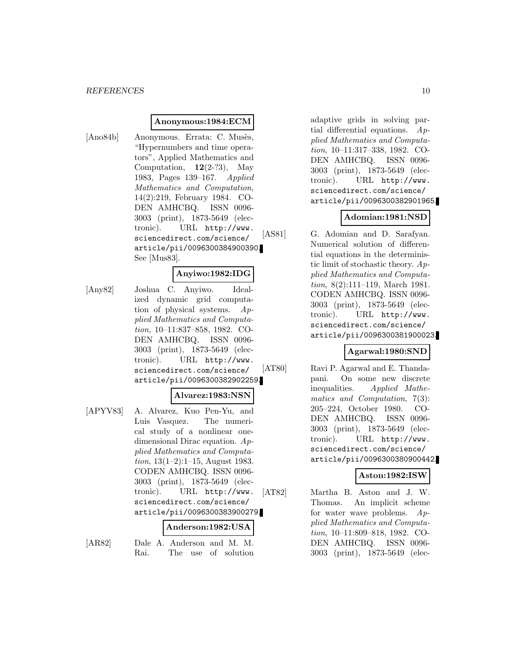#### **Anonymous:1984:ECM**

[Ano84b] Anonymous. Errata: C. Musès, "Hypernumbers and time operators", Applied Mathematics and Computation,  $12(2-?3)$ , May 1983, Pages 139–167. Applied Mathematics and Computation, 14(2):219, February 1984. CO-DEN AMHCBQ. ISSN 0096- 3003 (print), 1873-5649 (electronic). URL http://www. sciencedirect.com/science/ article/pii/0096300384900390. See [Mus83].

#### **Anyiwo:1982:IDG**

[Any82] Joshua C. Anyiwo. Idealized dynamic grid computation of physical systems. Applied Mathematics and Computation, 10–11:837–858, 1982. CO-DEN AMHCBQ. ISSN 0096- 3003 (print), 1873-5649 (electronic). URL http://www. sciencedirect.com/science/ article/pii/0096300382902259.

#### **Alvarez:1983:NSN**

[APYV83] A. Alvarez, Kuo Pen-Yu, and Luis Vasquez. The numerical study of a nonlinear onedimensional Dirac equation. Applied Mathematics and Computation,  $13(1-2):1-15$ , August 1983. CODEN AMHCBQ. ISSN 0096- 3003 (print), 1873-5649 (electronic). URL http://www. sciencedirect.com/science/ article/pii/0096300383900279.

#### **Anderson:1982:USA**

- 
- [AR82] Dale A. Anderson and M. M. Rai. The use of solution

adaptive grids in solving partial differential equations.  $Ap$ plied Mathematics and Computation, 10–11:317–338, 1982. CO-DEN AMHCBQ. ISSN 0096- 3003 (print), 1873-5649 (electronic). URL http://www. sciencedirect.com/science/ article/pii/0096300382901965.

#### **Adomian:1981:NSD**

[AS81] G. Adomian and D. Sarafyan. Numerical solution of differential equations in the deterministic limit of stochastic theory. Applied Mathematics and Computation, 8(2):111–119, March 1981. CODEN AMHCBQ. ISSN 0096- 3003 (print), 1873-5649 (electronic). URL http://www. sciencedirect.com/science/ article/pii/0096300381900023.

#### **Agarwal:1980:SND**

[AT80] Ravi P. Agarwal and E. Thandapani. On some new discrete inequalities. Applied Mathematics and Computation, 7(3): 205–224, October 1980. CO-DEN AMHCBQ. ISSN 0096- 3003 (print), 1873-5649 (electronic). URL http://www. sciencedirect.com/science/ article/pii/0096300380900442.

#### **Aston:1982:ISW**

[AT82] Martha B. Aston and J. W. Thomas. An implicit scheme for water wave problems. Applied Mathematics and Computation, 10–11:809–818, 1982. CO-DEN AMHCBQ. ISSN 0096- 3003 (print), 1873-5649 (elec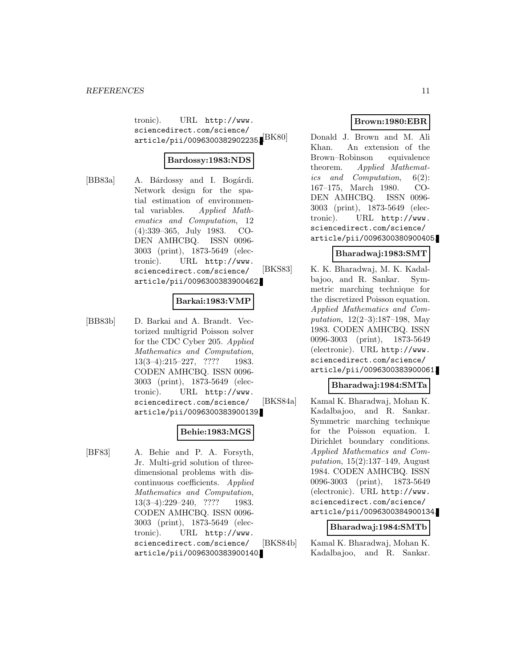tronic). URL http://www. sciencedirect.com/science/  $\ar{ticle/pii/0096300382902235.}$  $\sqrt{\text{BK80}}$ 

#### **Bardossy:1983:NDS**

[BB83a] A. Bárdossy and I. Bogárdi. Network design for the spatial estimation of environmental variables. Applied Mathematics and Computation, 12 (4):339–365, July 1983. CO-DEN AMHCBQ. ISSN 0096- 3003 (print), 1873-5649 (electronic). URL http://www. sciencedirect.com/science/ article/pii/0096300383900462.

#### **Barkai:1983:VMP**

[BB83b] D. Barkai and A. Brandt. Vectorized multigrid Poisson solver for the CDC Cyber 205. Applied Mathematics and Computation, 13(3–4):215–227, ???? 1983. CODEN AMHCBQ. ISSN 0096- 3003 (print), 1873-5649 (electronic). URL http://www. sciencedirect.com/science/ article/pii/0096300383900139.

#### **Behie:1983:MGS**

[BF83] A. Behie and P. A. Forsyth, Jr. Multi-grid solution of threedimensional problems with discontinuous coefficients. Applied Mathematics and Computation, 13(3–4):229–240, ???? 1983. CODEN AMHCBQ. ISSN 0096- 3003 (print), 1873-5649 (electronic). URL http://www. sciencedirect.com/science/ article/pii/0096300383900140.

## **Brown:1980:EBR**

Donald J. Brown and M. Ali Khan. An extension of the Brown–Robinson equivalence theorem. Applied Mathematics and Computation, 6(2): 167–175, March 1980. CO-DEN AMHCBQ. ISSN 0096- 3003 (print), 1873-5649 (electronic). URL http://www. sciencedirect.com/science/ article/pii/0096300380900405.

#### **Bharadwaj:1983:SMT**

[BKS83] K. K. Bharadwaj, M. K. Kadalbajoo, and R. Sankar. Symmetric marching technique for the discretized Poisson equation. Applied Mathematics and Computation, 12(2–3):187–198, May 1983. CODEN AMHCBQ. ISSN 0096-3003 (print), 1873-5649 (electronic). URL http://www. sciencedirect.com/science/ article/pii/0096300383900061.

## **Bharadwaj:1984:SMTa**

[BKS84a] Kamal K. Bharadwaj, Mohan K. Kadalbajoo, and R. Sankar. Symmetric marching technique for the Poisson equation. I. Dirichlet boundary conditions. Applied Mathematics and Computation,  $15(2):137-149$ , August 1984. CODEN AMHCBQ. ISSN 0096-3003 (print), 1873-5649 (electronic). URL http://www. sciencedirect.com/science/ article/pii/0096300384900134.

#### **Bharadwaj:1984:SMTb**

[BKS84b] Kamal K. Bharadwaj, Mohan K. Kadalbajoo, and R. Sankar.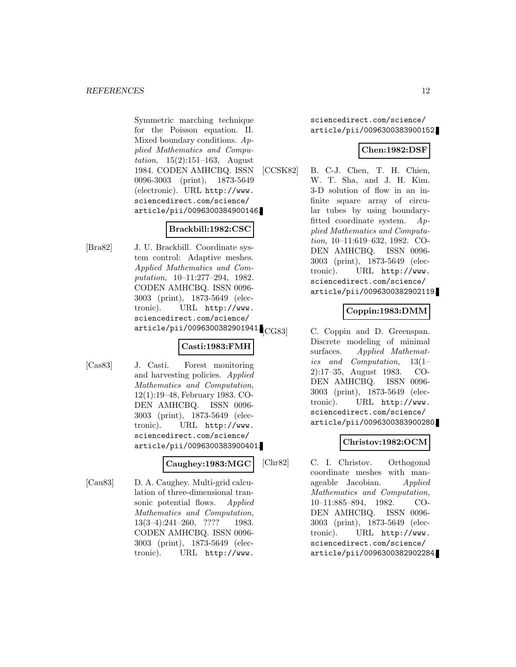Symmetric marching technique for the Poisson equation. II. Mixed boundary conditions.  $Ap$ plied Mathematics and Computation, 15(2):151–163, August 1984. CODEN AMHCBQ. ISSN 0096-3003 (print), 1873-5649 (electronic). URL http://www. sciencedirect.com/science/ article/pii/0096300384900146.

## **Brackbill:1982:CSC**

[Bra82] J. U. Brackbill. Coordinate system control: Adaptive meshes. Applied Mathematics and Computation, 10–11:277–294, 1982. CODEN AMHCBQ. ISSN 0096- 3003 (print), 1873-5649 (electronic). URL http://www. sciencedirect.com/science/ article/pii/0096300382901941.CG83

#### **Casti:1983:FMH**

[Cas83] J. Casti. Forest monitoring and harvesting policies. Applied Mathematics and Computation, 12(1):19–48, February 1983. CO-DEN AMHCBQ. ISSN 0096- 3003 (print), 1873-5649 (electronic). URL http://www. sciencedirect.com/science/ article/pii/0096300383900401.

## **Caughey:1983:MGC**

[Cau83] D. A. Caughey. Multi-grid calculation of three-dimensional transonic potential flows. Applied Mathematics and Computation, 13(3–4):241–260, ???? 1983. CODEN AMHCBQ. ISSN 0096- 3003 (print), 1873-5649 (electronic). URL http://www.

sciencedirect.com/science/ article/pii/0096300383900152.

## **Chen:1982:DSF**

[CCSK82] B. C-J. Chen, T. H. Chien, W. T. Sha, and J. H. Kim. 3-D solution of flow in an infinite square array of circular tubes by using boundaryfitted coordinate system. Applied Mathematics and Computation, 10–11:619–632, 1982. CO-DEN AMHCBQ. ISSN 0096- 3003 (print), 1873-5649 (electronic). URL http://www. sciencedirect.com/science/ article/pii/0096300382902119.

## **Coppin:1983:DMM**

C. Coppin and D. Greenspan. Discrete modeling of minimal surfaces. Applied Mathematics and Computation, 13(1– 2):17–35, August 1983. CO-DEN AMHCBQ. ISSN 0096- 3003 (print), 1873-5649 (electronic). URL http://www. sciencedirect.com/science/ article/pii/0096300383900280.

## **Christov:1982:OCM**

[Chr82] C. I. Christov. Orthogonal coordinate meshes with manageable Jacobian. Applied Mathematics and Computation, 10–11:885–894, 1982. CO-DEN AMHCBQ. ISSN 0096- 3003 (print), 1873-5649 (electronic). URL http://www. sciencedirect.com/science/ article/pii/0096300382902284.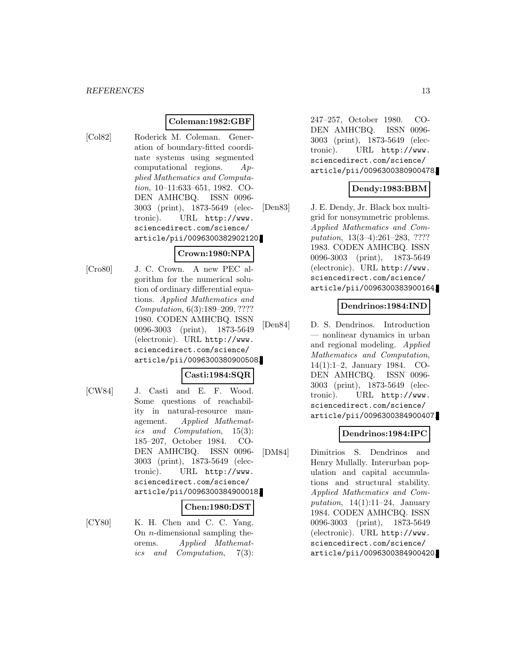## **Coleman:1982:GBF**

[Col82] Roderick M. Coleman. Generation of boundary-fitted coordinate systems using segmented computational regions. Applied Mathematics and Computation, 10–11:633–651, 1982. CO-DEN AMHCBQ. ISSN 0096- 3003 (print), 1873-5649 (electronic). URL http://www. sciencedirect.com/science/ article/pii/0096300382902120.

## **Crown:1980:NPA**

[Cro80] J. C. Crown. A new PEC algorithm for the numerical solution of ordinary differential equations. Applied Mathematics and Computation, 6(3):189–209, ???? 1980. CODEN AMHCBQ. ISSN 0096-3003 (print), 1873-5649 (electronic). URL http://www. sciencedirect.com/science/ article/pii/0096300380900508.

#### **Casti:1984:SQR**

[CW84] J. Casti and E. F. Wood. Some questions of reachability in natural-resource management. Applied Mathematics and Computation, 15(3): 185–207, October 1984. CO-DEN AMHCBQ. ISSN 0096- 3003 (print), 1873-5649 (electronic). URL http://www. sciencedirect.com/science/ article/pii/0096300384900018.

#### **Chen:1980:DST**

[CY80] K. H. Chen and C. C. Yang. On n-dimensional sampling theorems. Applied Mathematics and Computation, 7(3):

247–257, October 1980. CO-DEN AMHCBQ. ISSN 0096- 3003 (print), 1873-5649 (electronic). URL http://www. sciencedirect.com/science/ article/pii/0096300380900478.

## **Dendy:1983:BBM**

[Den83] J. E. Dendy, Jr. Black box multigrid for nonsymmetric problems. Applied Mathematics and Computation, 13(3–4):261–283, ???? 1983. CODEN AMHCBQ. ISSN 0096-3003 (print), 1873-5649 (electronic). URL http://www. sciencedirect.com/science/ article/pii/0096300383900164.

## **Dendrinos:1984:IND**

[Den84] D. S. Dendrinos. Introduction — nonlinear dynamics in urban and regional modeling. Applied Mathematics and Computation, 14(1):1–2, January 1984. CO-DEN AMHCBQ. ISSN 0096- 3003 (print), 1873-5649 (electronic). URL http://www. sciencedirect.com/science/ article/pii/0096300384900407.

## **Dendrinos:1984:IPC**

[DM84] Dimitrios S. Dendrinos and Henry Mullally. Interurban population and capital accumulations and structural stability. Applied Mathematics and Computation,  $14(1):11-24$ , January 1984. CODEN AMHCBQ. ISSN 0096-3003 (print), 1873-5649 (electronic). URL http://www. sciencedirect.com/science/ article/pii/0096300384900420.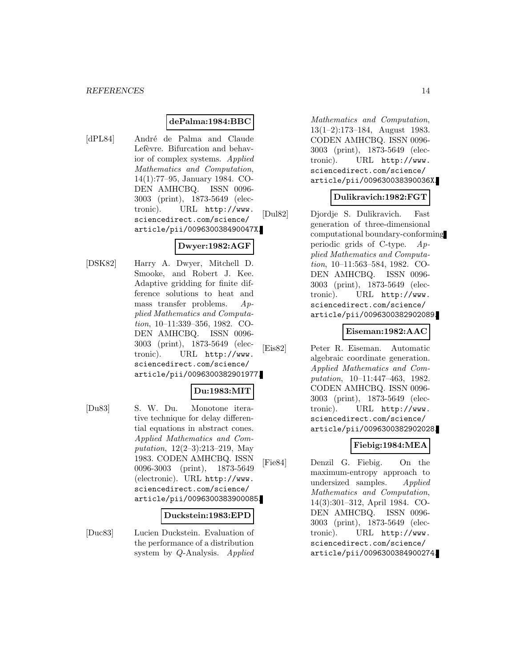#### **dePalma:1984:BBC**

[dPL84] André de Palma and Claude Lefèvre. Bifurcation and behavior of complex systems. Applied Mathematics and Computation, 14(1):77–95, January 1984. CO-DEN AMHCBQ. ISSN 0096- 3003 (print), 1873-5649 (electronic). URL http://www. sciencedirect.com/science/ article/pii/009630038490047X.

## **Dwyer:1982:AGF**

[DSK82] Harry A. Dwyer, Mitchell D. Smooke, and Robert J. Kee. Adaptive gridding for finite difference solutions to heat and mass transfer problems. Applied Mathematics and Computation, 10–11:339–356, 1982. CO-DEN AMHCBQ. ISSN 0096- 3003 (print), 1873-5649 (electronic). URL http://www. sciencedirect.com/science/ article/pii/0096300382901977.

## **Du:1983:MIT**

[Du83] S. W. Du. Monotone iterative technique for delay differential equations in abstract cones. Applied Mathematics and Computation, 12(2–3):213–219, May 1983. CODEN AMHCBQ. ISSN 0096-3003 (print), 1873-5649 (electronic). URL http://www. sciencedirect.com/science/ article/pii/0096300383900085.

#### **Duckstein:1983:EPD**

[Duc83] Lucien Duckstein. Evaluation of the performance of a distribution system by Q-Analysis. Applied

Mathematics and Computation, 13(1–2):173–184, August 1983. CODEN AMHCBQ. ISSN 0096- 3003 (print), 1873-5649 (electronic). URL http://www. sciencedirect.com/science/ article/pii/009630038390036X.

## **Dulikravich:1982:FGT**

[Dul82] Djordje S. Dulikravich. Fast generation of three-dimensional computational boundary-conforming periodic grids of C-type. Applied Mathematics and Computation, 10–11:563–584, 1982. CO-DEN AMHCBQ. ISSN 0096- 3003 (print), 1873-5649 (electronic). URL http://www. sciencedirect.com/science/ article/pii/0096300382902089.

#### **Eiseman:1982:AAC**

[Eis82] Peter R. Eiseman. Automatic algebraic coordinate generation. Applied Mathematics and Computation, 10–11:447–463, 1982. CODEN AMHCBQ. ISSN 0096- 3003 (print), 1873-5649 (electronic). URL http://www. sciencedirect.com/science/ article/pii/0096300382902028.

## **Fiebig:1984:MEA**

[Fie84] Denzil G. Fiebig. On the maximum-entropy approach to undersized samples. Applied Mathematics and Computation, 14(3):301–312, April 1984. CO-DEN AMHCBQ. ISSN 0096- 3003 (print), 1873-5649 (electronic). URL http://www. sciencedirect.com/science/ article/pii/0096300384900274.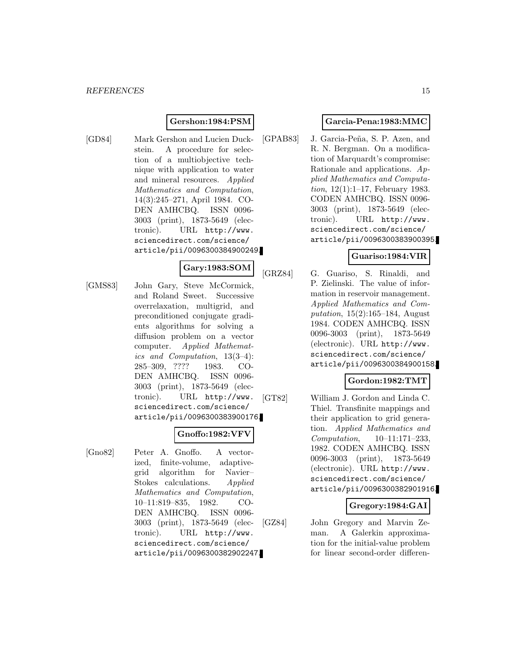## **Gershon:1984:PSM**

[GD84] Mark Gershon and Lucien Duckstein. A procedure for selection of a multiobjective technique with application to water and mineral resources. Applied Mathematics and Computation, 14(3):245–271, April 1984. CO-DEN AMHCBQ. ISSN 0096- 3003 (print), 1873-5649 (electronic). URL http://www. sciencedirect.com/science/ article/pii/0096300384900249.

## **Gary:1983:SOM**

[GMS83] John Gary, Steve McCormick, and Roland Sweet. Successive overrelaxation, multigrid, and preconditioned conjugate gradients algorithms for solving a diffusion problem on a vector computer. Applied Mathematics and Computation, 13(3–4): 285–309, ???? 1983. CO-DEN AMHCBQ. ISSN 0096- 3003 (print), 1873-5649 (electronic). URL http://www. sciencedirect.com/science/ article/pii/0096300383900176.

#### **Gnoffo:1982:VFV**

[Gno82] Peter A. Gnoffo. A vectorized, finite-volume, adaptivegrid algorithm for Navier– Stokes calculations. Applied Mathematics and Computation, 10–11:819–835, 1982. CO-DEN AMHCBQ. ISSN 0096- 3003 (print), 1873-5649 (electronic). URL http://www. sciencedirect.com/science/ article/pii/0096300382902247.

#### **Garcia-Pena:1983:MMC**

[GPAB83] J. Garcia-Peña, S. P. Azen, and R. N. Bergman. On a modification of Marquardt's compromise: Rationale and applications. Applied Mathematics and Computation, 12(1):1–17, February 1983. CODEN AMHCBQ. ISSN 0096- 3003 (print), 1873-5649 (electronic). URL http://www. sciencedirect.com/science/ article/pii/0096300383900395.

#### **Guariso:1984:VIR**

[GRZ84] G. Guariso, S. Rinaldi, and P. Zielinski. The value of information in reservoir management. Applied Mathematics and Computation,  $15(2):165-184$ , August 1984. CODEN AMHCBQ. ISSN 0096-3003 (print), 1873-5649 (electronic). URL http://www. sciencedirect.com/science/ article/pii/0096300384900158.

#### **Gordon:1982:TMT**

[GT82] William J. Gordon and Linda C. Thiel. Transfinite mappings and their application to grid generation. Applied Mathematics and Computation, 10–11:171–233, 1982. CODEN AMHCBQ. ISSN 0096-3003 (print), 1873-5649 (electronic). URL http://www. sciencedirect.com/science/ article/pii/0096300382901916.

#### **Gregory:1984:GAI**

[GZ84] John Gregory and Marvin Zeman. A Galerkin approximation for the initial-value problem for linear second-order differen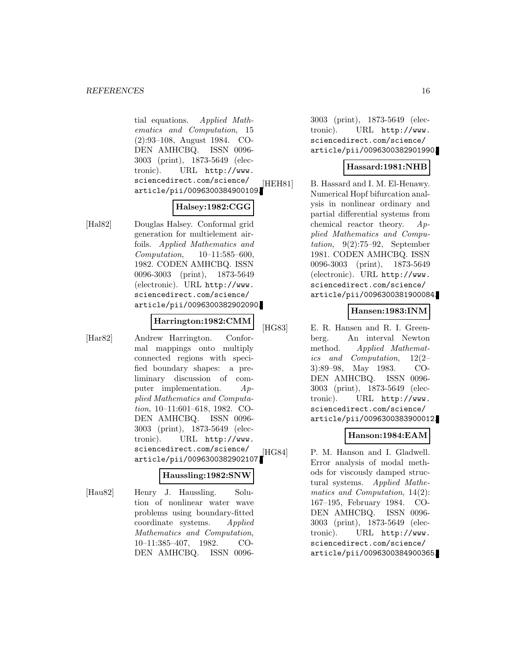tial equations. Applied Mathematics and Computation, 15 (2):93–108, August 1984. CO-DEN AMHCBQ. ISSN 0096- 3003 (print), 1873-5649 (electronic). URL http://www. sciencedirect.com/science/ article/pii/0096300384900109.

## **Halsey:1982:CGG**

[Hal82] Douglas Halsey. Conformal grid generation for multielement airfoils. Applied Mathematics and Computation, 10–11:585–600, 1982. CODEN AMHCBQ. ISSN 0096-3003 (print), 1873-5649 (electronic). URL http://www. sciencedirect.com/science/ article/pii/0096300382902090.

#### **Harrington:1982:CMM**

[Har82] Andrew Harrington. Conformal mappings onto multiply connected regions with specified boundary shapes: a preliminary discussion of computer implementation. Applied Mathematics and Computation, 10–11:601–618, 1982. CO-DEN AMHCBQ. ISSN 0096- 3003 (print), 1873-5649 (electronic). URL http://www. sciencedirect.com/science/ article/pii/0096300382902107.

## **Haussling:1982:SNW**

[Hau82] Henry J. Haussling. Solution of nonlinear water wave problems using boundary-fitted coordinate systems. Applied Mathematics and Computation, 10–11:385–407, 1982. CO-DEN AMHCBQ. ISSN 0096-

3003 (print), 1873-5649 (electronic). URL http://www. sciencedirect.com/science/ article/pii/0096300382901990.

#### **Hassard:1981:NHB**

[HEH81] B. Hassard and I. M. El-Henawy. Numerical Hopf bifurcation analysis in nonlinear ordinary and partial differential systems from chemical reactor theory. Applied Mathematics and Computation, 9(2):75–92, September 1981. CODEN AMHCBQ. ISSN 0096-3003 (print), 1873-5649 (electronic). URL http://www. sciencedirect.com/science/ article/pii/0096300381900084.

## **Hansen:1983:INM**

[HG83] E. R. Hansen and R. I. Greenberg. An interval Newton method. Applied Mathematics and Computation, 12(2– 3):89–98, May 1983. CO-DEN AMHCBQ. ISSN 0096- 3003 (print), 1873-5649 (electronic). URL http://www. sciencedirect.com/science/ article/pii/0096300383900012.

## **Hanson:1984:EAM**

[HG84] P. M. Hanson and I. Gladwell. Error analysis of modal methods for viscously damped structural systems. Applied Mathematics and Computation, 14(2): 167–195, February 1984. CO-DEN AMHCBQ. ISSN 0096- 3003 (print), 1873-5649 (electronic). URL http://www. sciencedirect.com/science/ article/pii/0096300384900365.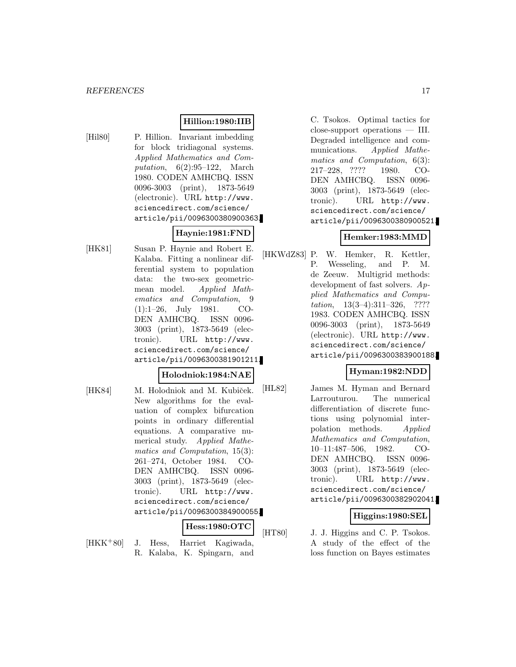#### **Hillion:1980:IIB**

[Hil80] P. Hillion. Invariant imbedding for block tridiagonal systems. Applied Mathematics and Computation,  $6(2):95-122$ , March 1980. CODEN AMHCBQ. ISSN 0096-3003 (print), 1873-5649 (electronic). URL http://www. sciencedirect.com/science/ article/pii/0096300380900363.

**Haynie:1981:FND** [HK81] Susan P. Haynie and Robert E. Kalaba. Fitting a nonlinear differential system to population data: the two-sex geometricmean model. Applied Mathematics and Computation, 9 (1):1–26, July 1981. CO-DEN AMHCBQ. ISSN 0096- 3003 (print), 1873-5649 (electronic). URL http://www. sciencedirect.com/science/ article/pii/0096300381901211.

#### **Holodniok:1984:NAE**

[HK84] M. Holodniok and M. Kubiček. New algorithms for the evaluation of complex bifurcation points in ordinary differential equations. A comparative numerical study. Applied Mathematics and Computation, 15(3): 261–274, October 1984. CO-DEN AMHCBQ. ISSN 0096- 3003 (print), 1873-5649 (electronic). URL http://www. sciencedirect.com/science/ article/pii/0096300384900055.

**Hess:1980:OTC**

[HKK<sup>+</sup>80] J. Hess, Harriet Kagiwada, R. Kalaba, K. Spingarn, and

C. Tsokos. Optimal tactics for close-support operations — III. Degraded intelligence and communications. Applied Mathematics and Computation, 6(3): 217–228, ???? 1980. CO-DEN AMHCBQ. ISSN 0096- 3003 (print), 1873-5649 (electronic). URL http://www. sciencedirect.com/science/ article/pii/0096300380900521.

#### **Hemker:1983:MMD**

[HKWdZ83] P. W. Hemker, R. Kettler, P. Wesseling, and P. M. de Zeeuw. Multigrid methods: development of fast solvers. Applied Mathematics and Computation, 13(3–4):311–326, ???? 1983. CODEN AMHCBQ. ISSN 0096-3003 (print), 1873-5649 (electronic). URL http://www. sciencedirect.com/science/ article/pii/0096300383900188.

## **Hyman:1982:NDD**

[HL82] James M. Hyman and Bernard Larrouturou. The numerical differentiation of discrete functions using polynomial interpolation methods. Applied Mathematics and Computation, 10–11:487–506, 1982. CO-DEN AMHCBQ. ISSN 0096- 3003 (print), 1873-5649 (electronic). URL http://www. sciencedirect.com/science/ article/pii/0096300382902041.

## **Higgins:1980:SEL**

[HT80] J. J. Higgins and C. P. Tsokos. A study of the effect of the loss function on Bayes estimates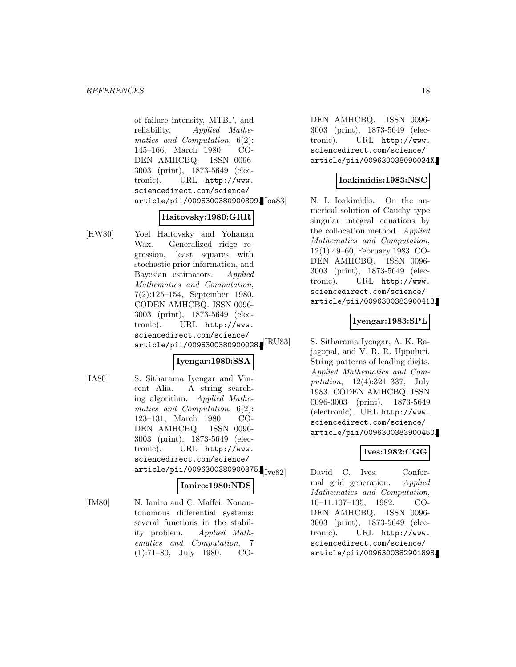of failure intensity, MTBF, and reliability. Applied Mathematics and Computation, 6(2): 145–166, March 1980. CO-DEN AMHCBQ. ISSN 0096- 3003 (print), 1873-5649 (electronic). URL http://www. sciencedirect.com/science/ article/pii/0096300380900399.

#### **Haitovsky:1980:GRR**

[HW80] Yoel Haitovsky and Yohanan Wax. Generalized ridge regression, least squares with stochastic prior information, and Bayesian estimators. Applied Mathematics and Computation, 7(2):125–154, September 1980. CODEN AMHCBQ. ISSN 0096- 3003 (print), 1873-5649 (electronic). URL http://www. sciencedirect.com/science/ article/pii/0096300380900028.<sup>[IRU83]</sup>

## **Iyengar:1980:SSA**

[IA80] S. Sitharama Iyengar and Vincent Alia. A string searching algorithm. Applied Mathematics and Computation, 6(2): 123–131, March 1980. CO-DEN AMHCBQ. ISSN 0096- 3003 (print), 1873-5649 (electronic). URL http://www. sciencedirect.com/science/  $article/pii/0096300380900375.$ 

# **Ianiro:1980:NDS**

[IM80] N. Ianiro and C. Maffei. Nonautonomous differential systems: several functions in the stability problem. Applied Mathematics and Computation, 7 (1):71–80, July 1980. CO-

DEN AMHCBQ. ISSN 0096- 3003 (print), 1873-5649 (electronic). URL http://www. sciencedirect.com/science/ article/pii/009630038090034X.

## **Ioakimidis:1983:NSC**

N. I. Ioakimidis. On the numerical solution of Cauchy type singular integral equations by the collocation method. Applied Mathematics and Computation, 12(1):49–60, February 1983. CO-DEN AMHCBQ. ISSN 0096- 3003 (print), 1873-5649 (electronic). URL http://www. sciencedirect.com/science/ article/pii/0096300383900413.

## **Iyengar:1983:SPL**

S. Sitharama Iyengar, A. K. Rajagopal, and V. R. R. Uppuluri. String patterns of leading digits. Applied Mathematics and Computation, 12(4):321–337, July 1983. CODEN AMHCBQ. ISSN 0096-3003 (print), 1873-5649 (electronic). URL http://www. sciencedirect.com/science/ article/pii/0096300383900450.

## **Ives:1982:CGG**

David C. Ives. Conformal grid generation. Applied Mathematics and Computation, 10–11:107–135, 1982. CO-DEN AMHCBQ. ISSN 0096- 3003 (print), 1873-5649 (electronic). URL http://www. sciencedirect.com/science/ article/pii/0096300382901898.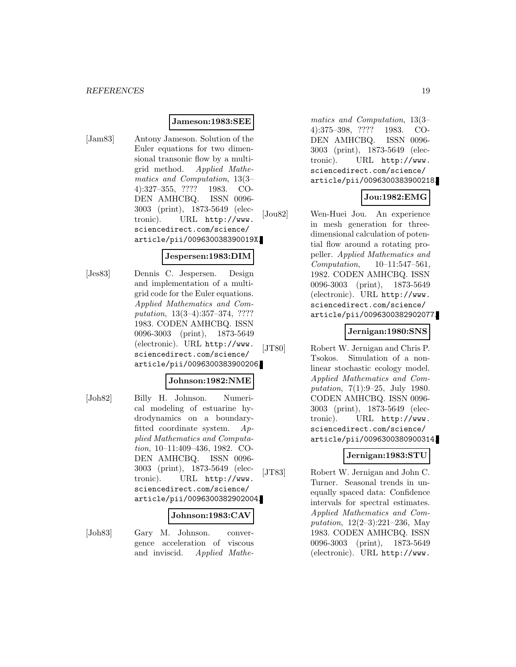#### **Jameson:1983:SEE**

[Jam83] Antony Jameson. Solution of the Euler equations for two dimensional transonic flow by a multigrid method. Applied Mathematics and Computation, 13(3– 4):327–355, ???? 1983. CO-DEN AMHCBQ. ISSN 0096- 3003 (print), 1873-5649 (electronic). URL http://www. sciencedirect.com/science/ article/pii/009630038390019X.

#### **Jespersen:1983:DIM**

[Jes83] Dennis C. Jespersen. Design and implementation of a multigrid code for the Euler equations. Applied Mathematics and Computation, 13(3–4):357–374, ???? 1983. CODEN AMHCBQ. ISSN 0096-3003 (print), 1873-5649 (electronic). URL http://www. sciencedirect.com/science/ article/pii/0096300383900206.

#### **Johnson:1982:NME**

[Joh82] Billy H. Johnson. Numerical modeling of estuarine hydrodynamics on a boundaryfitted coordinate system. Applied Mathematics and Computation, 10–11:409–436, 1982. CO-DEN AMHCBQ. ISSN 0096- 3003 (print), 1873-5649 (electronic). URL http://www. sciencedirect.com/science/ article/pii/0096300382902004.

#### **Johnson:1983:CAV**

[Joh83] Gary M. Johnson. convergence acceleration of viscous and inviscid. Applied Mathe-

matics and Computation, 13(3– 4):375–398, ???? 1983. CO-DEN AMHCBQ. ISSN 0096- 3003 (print), 1873-5649 (electronic). URL http://www. sciencedirect.com/science/ article/pii/0096300383900218.

## **Jou:1982:EMG**

[Jou82] Wen-Huei Jou. An experience in mesh generation for threedimensional calculation of potential flow around a rotating propeller. Applied Mathematics and Computation, 10–11:547–561, 1982. CODEN AMHCBQ. ISSN 0096-3003 (print), 1873-5649 (electronic). URL http://www. sciencedirect.com/science/ article/pii/0096300382902077.

## **Jernigan:1980:SNS**

[JT80] Robert W. Jernigan and Chris P. Tsokos. Simulation of a nonlinear stochastic ecology model. Applied Mathematics and Computation, 7(1):9–25, July 1980. CODEN AMHCBQ. ISSN 0096- 3003 (print), 1873-5649 (electronic). URL http://www. sciencedirect.com/science/ article/pii/0096300380900314.

## **Jernigan:1983:STU**

[JT83] Robert W. Jernigan and John C. Turner. Seasonal trends in unequally spaced data: Confidence intervals for spectral estimates. Applied Mathematics and Computation, 12(2–3):221–236, May 1983. CODEN AMHCBQ. ISSN 0096-3003 (print), 1873-5649 (electronic). URL http://www.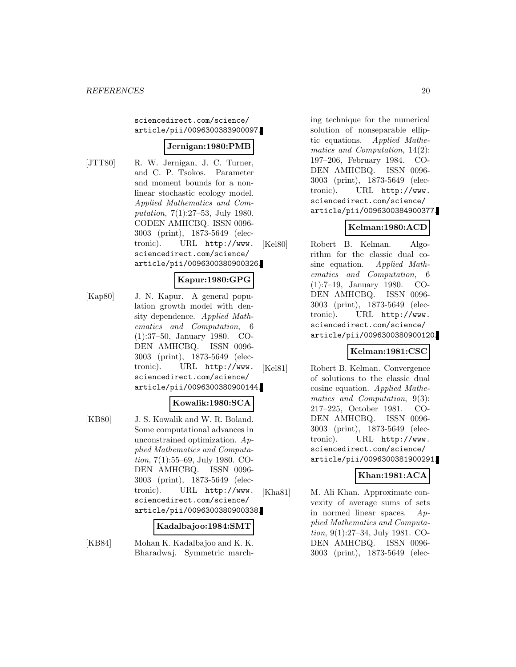sciencedirect.com/science/ article/pii/0096300383900097.

## **Jernigan:1980:PMB**

[JTT80] R. W. Jernigan, J. C. Turner, and C. P. Tsokos. Parameter and moment bounds for a nonlinear stochastic ecology model. Applied Mathematics and Computation, 7(1):27–53, July 1980. CODEN AMHCBQ. ISSN 0096- 3003 (print), 1873-5649 (electronic). URL http://www. sciencedirect.com/science/ article/pii/0096300380900326.

## **Kapur:1980:GPG**

[Kap80] J. N. Kapur. A general population growth model with density dependence. Applied Mathematics and Computation, 6 (1):37–50, January 1980. CO-DEN AMHCBQ. ISSN 0096- 3003 (print), 1873-5649 (electronic). URL http://www. sciencedirect.com/science/ article/pii/0096300380900144.

#### **Kowalik:1980:SCA**

[KB80] J. S. Kowalik and W. R. Boland. Some computational advances in unconstrained optimization. Applied Mathematics and Computation, 7(1):55–69, July 1980. CO-DEN AMHCBQ. ISSN 0096- 3003 (print), 1873-5649 (electronic). URL http://www. sciencedirect.com/science/ article/pii/0096300380900338.

#### **Kadalbajoo:1984:SMT**

[KB84] Mohan K. Kadalbajoo and K. K. Bharadwaj. Symmetric march-

ing technique for the numerical solution of nonseparable elliptic equations. Applied Mathematics and Computation, 14(2): 197–206, February 1984. CO-DEN AMHCBQ. ISSN 0096- 3003 (print), 1873-5649 (electronic). URL http://www. sciencedirect.com/science/ article/pii/0096300384900377.

## **Kelman:1980:ACD**

[Kel80] Robert B. Kelman. Algorithm for the classic dual cosine equation. Applied Mathematics and Computation, 6 (1):7–19, January 1980. CO-DEN AMHCBQ. ISSN 0096- 3003 (print), 1873-5649 (electronic). URL http://www. sciencedirect.com/science/ article/pii/0096300380900120.

## **Kelman:1981:CSC**

[Kel81] Robert B. Kelman. Convergence of solutions to the classic dual cosine equation. Applied Mathematics and Computation, 9(3): 217–225, October 1981. CO-DEN AMHCBQ. ISSN 0096- 3003 (print), 1873-5649 (electronic). URL http://www. sciencedirect.com/science/ article/pii/0096300381900291.

## **Khan:1981:ACA**

[Kha81] M. Ali Khan. Approximate convexity of average sums of sets in normed linear spaces. Applied Mathematics and Computation, 9(1):27–34, July 1981. CO-DEN AMHCBQ. ISSN 0096- 3003 (print), 1873-5649 (elec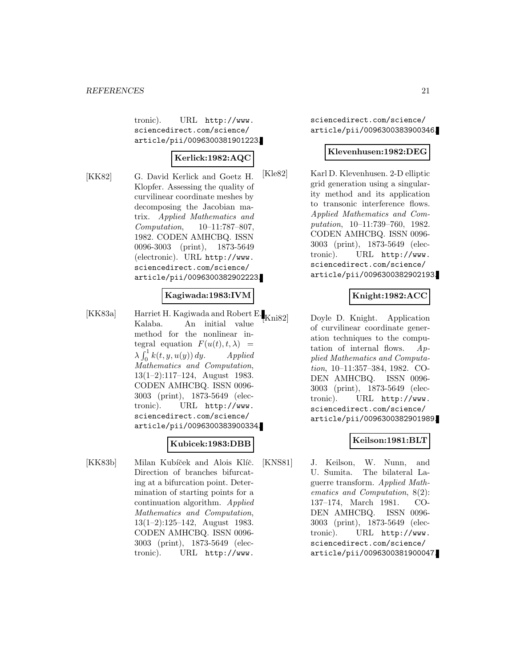tronic). URL http://www. sciencedirect.com/science/ article/pii/0096300381901223.

## **Kerlick:1982:AQC**

[KK82] G. David Kerlick and Goetz H. Klopfer. Assessing the quality of curvilinear coordinate meshes by decomposing the Jacobian matrix. Applied Mathematics and Computation, 10–11:787–807, 1982. CODEN AMHCBQ. ISSN 0096-3003 (print), 1873-5649 (electronic). URL http://www. sciencedirect.com/science/ article/pii/0096300382902223.

## **Kagiwada:1983:IVM**

[KK83a] Harriet H. Kagiwada and Robert E. Kalaba. An initial value method for the nonlinear integral equation  $F(u(t), t, \lambda)$  =  $\lambda \int_0^1 k(t, y, u(y)) dy$ . Applied Mathematics and Computation, 13(1–2):117–124, August 1983. CODEN AMHCBQ. ISSN 0096- 3003 (print), 1873-5649 (electronic). URL http://www. sciencedirect.com/science/ article/pii/0096300383900334.

## **Kubicek:1983:DBB**

[KK83b] Milan Kubíček and Alois Klíč. Direction of branches bifurcating at a bifurcation point. Determination of starting points for a continuation algorithm. Applied Mathematics and Computation, 13(1–2):125–142, August 1983. CODEN AMHCBQ. ISSN 0096- 3003 (print), 1873-5649 (electronic). URL http://www.

sciencedirect.com/science/ article/pii/0096300383900346.

#### **Klevenhusen:1982:DEG**

[Kle82] Karl D. Klevenhusen. 2-D elliptic grid generation using a singularity method and its application to transonic interference flows. Applied Mathematics and Computation, 10–11:739–760, 1982. CODEN AMHCBQ. ISSN 0096- 3003 (print), 1873-5649 (electronic). URL http://www. sciencedirect.com/science/ article/pii/0096300382902193.

## **Knight:1982:ACC**

Doyle D. Knight. Application of curvilinear coordinate generation techniques to the computation of internal flows. Applied Mathematics and Computation, 10–11:357–384, 1982. CO-DEN AMHCBQ. ISSN 0096- 3003 (print), 1873-5649 (electronic). URL http://www. sciencedirect.com/science/ article/pii/0096300382901989.

## **Keilson:1981:BLT**

[KNS81] J. Keilson, W. Nunn, and U. Sumita. The bilateral Laguerre transform. Applied Mathematics and Computation, 8(2): 137–174, March 1981. CO-DEN AMHCBQ. ISSN 0096- 3003 (print), 1873-5649 (electronic). URL http://www. sciencedirect.com/science/ article/pii/0096300381900047.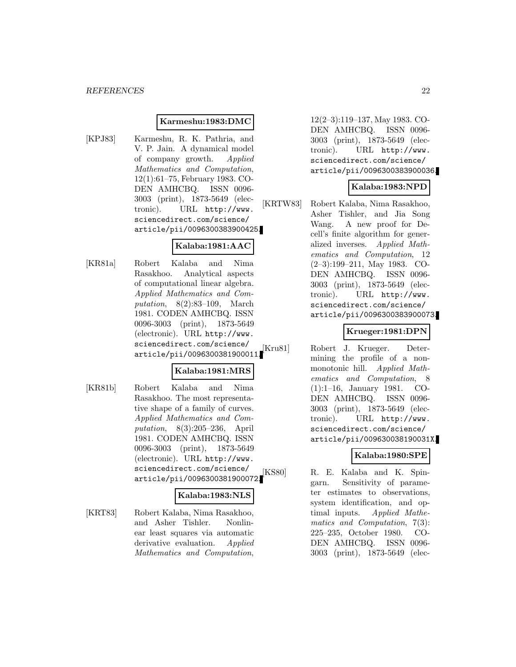#### **Karmeshu:1983:DMC**

[KPJ83] Karmeshu, R. K. Pathria, and V. P. Jain. A dynamical model of company growth. Applied Mathematics and Computation, 12(1):61–75, February 1983. CO-DEN AMHCBQ. ISSN 0096- 3003 (print), 1873-5649 (electronic). URL http://www. sciencedirect.com/science/ article/pii/0096300383900425.

## **Kalaba:1981:AAC**

[KR81a] Robert Kalaba and Nima Rasakhoo. Analytical aspects of computational linear algebra. Applied Mathematics and Computation, 8(2):83–109, March 1981. CODEN AMHCBQ. ISSN 0096-3003 (print), 1873-5649 (electronic). URL http://www. sciencedirect.com/science/ article/pii/0096300381900011.

## **Kalaba:1981:MRS**

[KR81b] Robert Kalaba and Nima Rasakhoo. The most representative shape of a family of curves. Applied Mathematics and Computation, 8(3):205–236, April 1981. CODEN AMHCBQ. ISSN 0096-3003 (print), 1873-5649 (electronic). URL http://www. sciencedirect.com/science/ article/pii/0096300381900072.

#### **Kalaba:1983:NLS**

[KRT83] Robert Kalaba, Nima Rasakhoo, and Asher Tishler. Nonlinear least squares via automatic derivative evaluation. Applied Mathematics and Computation,

12(2–3):119–137, May 1983. CO-DEN AMHCBQ. ISSN 0096- 3003 (print), 1873-5649 (electronic). URL http://www. sciencedirect.com/science/ article/pii/0096300383900036.

#### **Kalaba:1983:NPD**

[KRTW83] Robert Kalaba, Nima Rasakhoo, Asher Tishler, and Jia Song Wang. A new proof for Decell's finite algorithm for generalized inverses. Applied Mathematics and Computation, 12 (2–3):199–211, May 1983. CO-DEN AMHCBQ. ISSN 0096- 3003 (print), 1873-5649 (electronic). URL http://www. sciencedirect.com/science/ article/pii/0096300383900073.

## **Krueger:1981:DPN**

[Kru81] Robert J. Krueger. Determining the profile of a nonmonotonic hill. Applied Mathematics and Computation, 8 (1):1–16, January 1981. CO-DEN AMHCBQ. ISSN 0096- 3003 (print), 1873-5649 (electronic). URL http://www. sciencedirect.com/science/ article/pii/009630038190031X.

## **Kalaba:1980:SPE**

[KS80] R. E. Kalaba and K. Spingarn. Sensitivity of parameter estimates to observations, system identification, and optimal inputs. Applied Mathematics and Computation, 7(3): 225–235, October 1980. CO-DEN AMHCBQ. ISSN 0096- 3003 (print), 1873-5649 (elec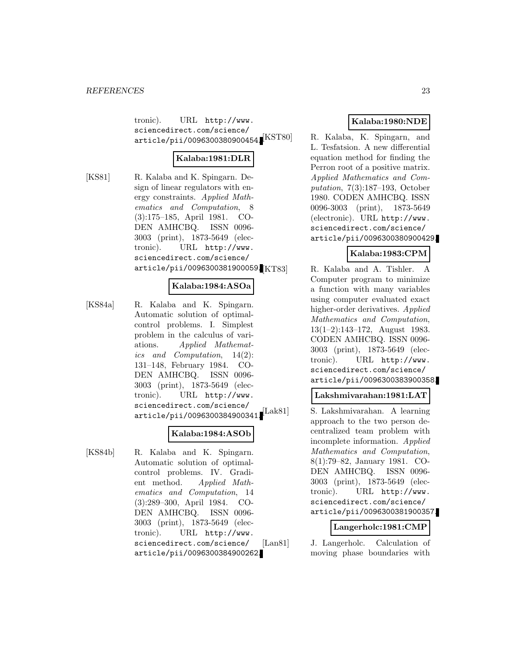tronic). URL http://www. sciencedirect.com/science/  $\texttt{article/pii/0096300380900454.}[\text{KST80}]$ 

## **Kalaba:1981:DLR**

[KS81] R. Kalaba and K. Spingarn. Design of linear regulators with energy constraints. Applied Mathematics and Computation, 8 (3):175–185, April 1981. CO-DEN AMHCBQ. ISSN 0096- 3003 (print), 1873-5649 (electronic). URL http://www. sciencedirect.com/science/ article/pii/0096300381900059.

#### **Kalaba:1984:ASOa**

[KS84a] R. Kalaba and K. Spingarn. Automatic solution of optimalcontrol problems. I. Simplest problem in the calculus of variations. Applied Mathematics and Computation, 14(2): 131–148, February 1984. CO-DEN AMHCBQ. ISSN 0096- 3003 (print), 1873-5649 (electronic). URL http://www. sciencedirect.com/science/ article/pii/0096300384900341.

## **Kalaba:1984:ASOb**

[KS84b] R. Kalaba and K. Spingarn. Automatic solution of optimalcontrol problems. IV. Gradient method. Applied Mathematics and Computation, 14 (3):289–300, April 1984. CO-DEN AMHCBQ. ISSN 0096- 3003 (print), 1873-5649 (electronic). URL http://www. sciencedirect.com/science/ article/pii/0096300384900262.

## **Kalaba:1980:NDE**

R. Kalaba, K. Spingarn, and L. Tesfatsion. A new differential equation method for finding the Perron root of a positive matrix. Applied Mathematics and Computation, 7(3):187–193, October 1980. CODEN AMHCBQ. ISSN 0096-3003 (print), 1873-5649 (electronic). URL http://www. sciencedirect.com/science/ article/pii/0096300380900429.

## **Kalaba:1983:CPM**

R. Kalaba and A. Tishler. A Computer program to minimize a function with many variables using computer evaluated exact higher-order derivatives. Applied Mathematics and Computation, 13(1–2):143–172, August 1983. CODEN AMHCBQ. ISSN 0096- 3003 (print), 1873-5649 (electronic). URL http://www. sciencedirect.com/science/ article/pii/0096300383900358.

## **Lakshmivarahan:1981:LAT**

[Lak81] S. Lakshmivarahan. A learning approach to the two person decentralized team problem with incomplete information. Applied Mathematics and Computation, 8(1):79–82, January 1981. CO-DEN AMHCBQ. ISSN 0096- 3003 (print), 1873-5649 (electronic). URL http://www. sciencedirect.com/science/ article/pii/0096300381900357.

#### **Langerholc:1981:CMP**

[Lan81] J. Langerholc. Calculation of moving phase boundaries with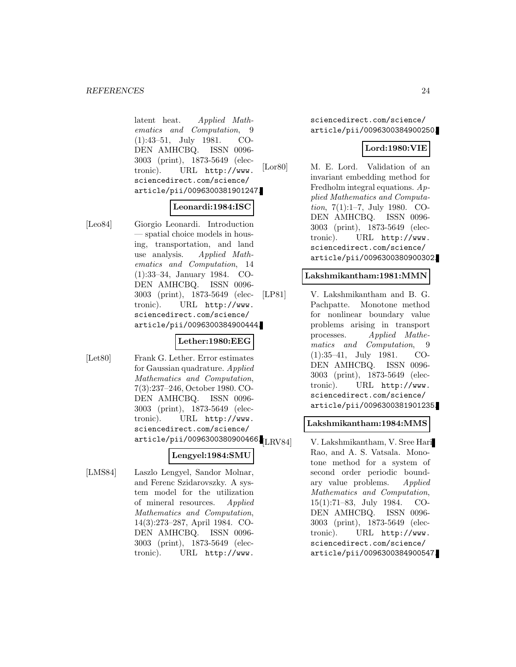latent heat. Applied Mathematics and Computation, 9 (1):43–51, July 1981. CO-DEN AMHCBQ. ISSN 0096- 3003 (print), 1873-5649 (electronic). URL http://www. sciencedirect.com/science/ article/pii/0096300381901247.

#### **Leonardi:1984:ISC**

[Leo84] Giorgio Leonardi. Introduction — spatial choice models in housing, transportation, and land use analysis. Applied Mathematics and Computation, 14 (1):33–34, January 1984. CO-DEN AMHCBQ. ISSN 0096- 3003 (print), 1873-5649 (electronic). URL http://www. sciencedirect.com/science/ article/pii/0096300384900444.

## **Lether:1980:EEG**

[Let80] Frank G. Lether. Error estimates for Gaussian quadrature. Applied Mathematics and Computation, 7(3):237–246, October 1980. CO-DEN AMHCBQ. ISSN 0096- 3003 (print), 1873-5649 (electronic). URL http://www. sciencedirect.com/science/  $\ar{ticle/pi1/0096300380900466}$ [LRV84]

## **Lengyel:1984:SMU**

[LMS84] Laszlo Lengyel, Sandor Molnar, and Ferenc Szidarovszky. A system model for the utilization of mineral resources. Applied Mathematics and Computation, 14(3):273–287, April 1984. CO-DEN AMHCBQ. ISSN 0096- 3003 (print), 1873-5649 (electronic). URL http://www.

sciencedirect.com/science/ article/pii/0096300384900250.

## **Lord:1980:VIE**

[Lor80] M. E. Lord. Validation of an invariant embedding method for Fredholm integral equations. Applied Mathematics and Computation, 7(1):1–7, July 1980. CO-DEN AMHCBQ. ISSN 0096- 3003 (print), 1873-5649 (electronic). URL http://www. sciencedirect.com/science/ article/pii/0096300380900302.

#### **Lakshmikantham:1981:MMN**

[LP81] V. Lakshmikantham and B. G. Pachpatte. Monotone method for nonlinear boundary value problems arising in transport processes. Applied Mathematics and Computation, 9 (1):35–41, July 1981. CO-DEN AMHCBQ. ISSN 0096- 3003 (print), 1873-5649 (electronic). URL http://www. sciencedirect.com/science/ article/pii/0096300381901235.

## **Lakshmikantham:1984:MMS**

V. Lakshmikantham, V. Sree Hari Rao, and A. S. Vatsala. Monotone method for a system of second order periodic boundary value problems. Applied Mathematics and Computation, 15(1):71–83, July 1984. CO-DEN AMHCBQ. ISSN 0096- 3003 (print), 1873-5649 (electronic). URL http://www. sciencedirect.com/science/ article/pii/0096300384900547.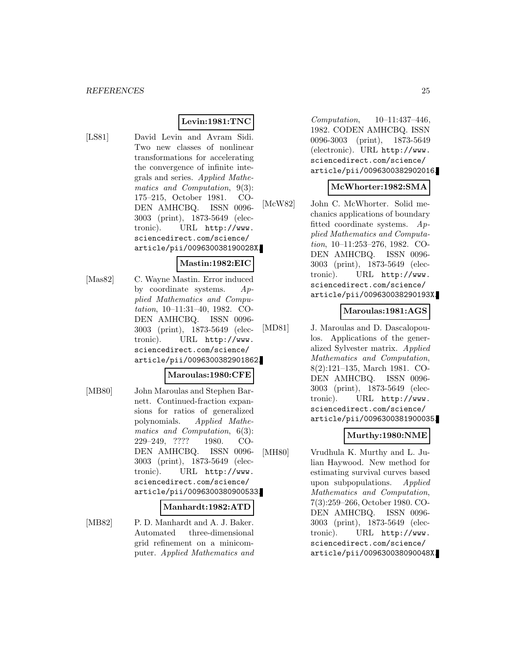## **Levin:1981:TNC**

[LS81] David Levin and Avram Sidi. Two new classes of nonlinear transformations for accelerating the convergence of infinite integrals and series. Applied Mathematics and Computation, 9(3): 175–215, October 1981. CO-DEN AMHCBQ. ISSN 0096- 3003 (print), 1873-5649 (electronic). URL http://www. sciencedirect.com/science/ article/pii/009630038190028X.

#### **Mastin:1982:EIC**

[Mas82] C. Wayne Mastin. Error induced by coordinate systems.  $Ap$ plied Mathematics and Computation, 10–11:31–40, 1982. CO-DEN AMHCBQ. ISSN 0096- 3003 (print), 1873-5649 (electronic). URL http://www. sciencedirect.com/science/ article/pii/0096300382901862.

#### **Maroulas:1980:CFE**

[MB80] John Maroulas and Stephen Barnett. Continued-fraction expansions for ratios of generalized polynomials. Applied Mathematics and Computation, 6(3): 229–249, ???? 1980. CO-DEN AMHCBQ. ISSN 0096- 3003 (print), 1873-5649 (electronic). URL http://www. sciencedirect.com/science/ article/pii/0096300380900533.

#### **Manhardt:1982:ATD**

[MB82] P. D. Manhardt and A. J. Baker. Automated three-dimensional grid refinement on a minicomputer. Applied Mathematics and

Computation, 10–11:437–446, 1982. CODEN AMHCBQ. ISSN 0096-3003 (print), 1873-5649 (electronic). URL http://www. sciencedirect.com/science/ article/pii/0096300382902016.

#### **McWhorter:1982:SMA**

[McW82] John C. McWhorter. Solid mechanics applications of boundary fitted coordinate systems. Applied Mathematics and Computation, 10–11:253–276, 1982. CO-DEN AMHCBQ. ISSN 0096- 3003 (print), 1873-5649 (electronic). URL http://www. sciencedirect.com/science/ article/pii/009630038290193X.

#### **Maroulas:1981:AGS**

[MD81] J. Maroulas and D. Dascalopoulos. Applications of the generalized Sylvester matrix. Applied Mathematics and Computation, 8(2):121–135, March 1981. CO-DEN AMHCBQ. ISSN 0096- 3003 (print), 1873-5649 (electronic). URL http://www. sciencedirect.com/science/ article/pii/0096300381900035.

## **Murthy:1980:NME**

[MH80] Vrudhula K. Murthy and L. Julian Haywood. New method for estimating survival curves based upon subpopulations. Applied Mathematics and Computation, 7(3):259–266, October 1980. CO-DEN AMHCBQ. ISSN 0096- 3003 (print), 1873-5649 (electronic). URL http://www. sciencedirect.com/science/ article/pii/009630038090048X.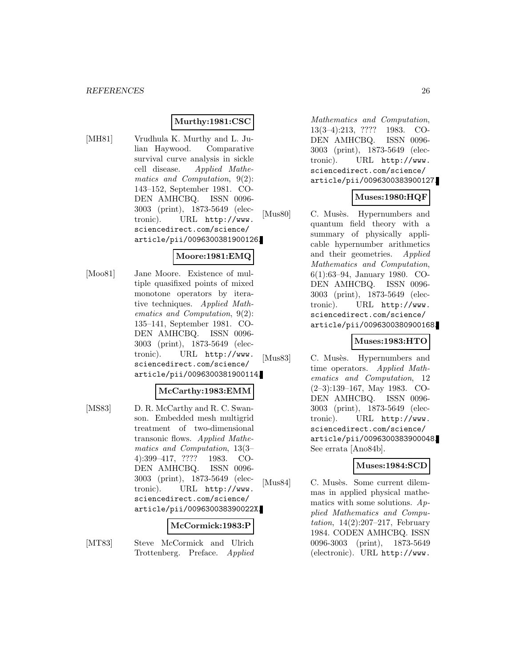## **Murthy:1981:CSC**

[MH81] Vrudhula K. Murthy and L. Julian Haywood. Comparative survival curve analysis in sickle cell disease. Applied Mathematics and Computation, 9(2): 143–152, September 1981. CO-DEN AMHCBQ. ISSN 0096- 3003 (print), 1873-5649 (electronic). URL http://www. sciencedirect.com/science/ article/pii/0096300381900126.

## **Moore:1981:EMQ**

[Moo81] Jane Moore. Existence of multiple quasifixed points of mixed monotone operators by iterative techniques. Applied Mathematics and Computation, 9(2): 135–141, September 1981. CO-DEN AMHCBQ. ISSN 0096- 3003 (print), 1873-5649 (electronic). URL http://www. sciencedirect.com/science/ article/pii/0096300381900114.

## **McCarthy:1983:EMM**

[MS83] D. R. McCarthy and R. C. Swanson. Embedded mesh multigrid treatment of two-dimensional transonic flows. Applied Mathematics and Computation, 13(3– 4):399–417, ???? 1983. CO-DEN AMHCBQ. ISSN 0096- 3003 (print), 1873-5649 (electronic). URL http://www. sciencedirect.com/science/ article/pii/009630038390022X.

#### **McCormick:1983:P**

[MT83] Steve McCormick and Ulrich Trottenberg. Preface. Applied

Mathematics and Computation, 13(3–4):213, ???? 1983. CO-DEN AMHCBQ. ISSN 0096- 3003 (print), 1873-5649 (electronic). URL http://www. sciencedirect.com/science/ article/pii/0096300383900127.

## **Muses:1980:HQF**

[Mus80] C. Musès. Hypernumbers and quantum field theory with a summary of physically applicable hypernumber arithmetics and their geometries. Applied Mathematics and Computation, 6(1):63–94, January 1980. CO-DEN AMHCBQ. ISSN 0096- 3003 (print), 1873-5649 (electronic). URL http://www. sciencedirect.com/science/ article/pii/0096300380900168.

## **Muses:1983:HTO**

[Mus83] C. Musès. Hypernumbers and time operators. Applied Mathematics and Computation, 12 (2–3):139–167, May 1983. CO-DEN AMHCBQ. ISSN 0096- 3003 (print), 1873-5649 (electronic). URL http://www. sciencedirect.com/science/ article/pii/0096300383900048. See errata [Ano84b].

#### **Muses:1984:SCD**

[Mus84] C. Musès. Some current dilemmas in applied physical mathematics with some solutions. Applied Mathematics and Compu*tation*,  $14(2):207-217$ , February 1984. CODEN AMHCBQ. ISSN 0096-3003 (print), 1873-5649 (electronic). URL http://www.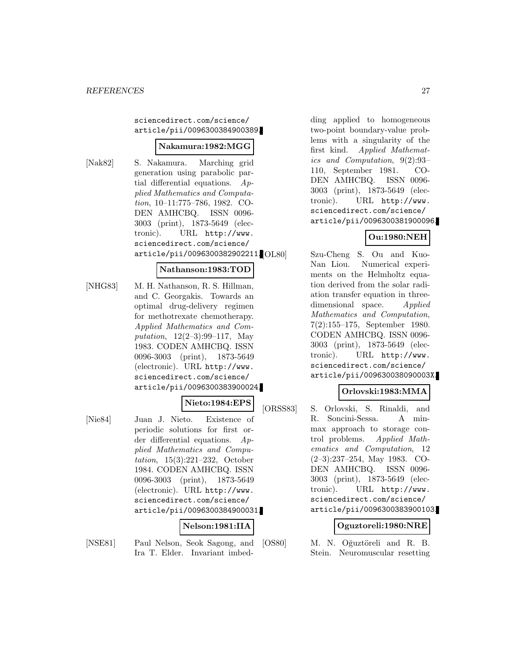#### sciencedirect.com/science/ article/pii/0096300384900389.

## **Nakamura:1982:MGG**

[Nak82] S. Nakamura. Marching grid generation using parabolic partial differential equations.  $Ap$ plied Mathematics and Computation, 10–11:775–786, 1982. CO-DEN AMHCBQ. ISSN 0096- 3003 (print), 1873-5649 (electronic). URL http://www. sciencedirect.com/science/ article/pii/0096300382902211.

## **Nathanson:1983:TOD**

[NHG83] M. H. Nathanson, R. S. Hillman, and C. Georgakis. Towards an optimal drug-delivery regimen for methotrexate chemotherapy. Applied Mathematics and Computation, 12(2–3):99–117, May 1983. CODEN AMHCBQ. ISSN 0096-3003 (print), 1873-5649 (electronic). URL http://www. sciencedirect.com/science/ article/pii/0096300383900024.

## **Nieto:1984:EPS**

[Nie84] Juan J. Nieto. Existence of periodic solutions for first order differential equations. Applied Mathematics and Computation, 15(3):221–232, October 1984. CODEN AMHCBQ. ISSN 0096-3003 (print), 1873-5649 (electronic). URL http://www. sciencedirect.com/science/ article/pii/0096300384900031.

## **Nelson:1981:IIA**

[NSE81] Paul Nelson, Seok Sagong, and Ira T. Elder. Invariant imbed-

ding applied to homogeneous two-point boundary-value problems with a singularity of the first kind. Applied Mathematics and Computation, 9(2):93– 110, September 1981. CO-DEN AMHCBQ. ISSN 0096- 3003 (print), 1873-5649 (electronic). URL http://www. sciencedirect.com/science/ article/pii/0096300381900096.

## **Ou:1980:NEH**

Szu-Cheng S. Ou and Kuo-Nan Liou. Numerical experiments on the Helmholtz equation derived from the solar radiation transfer equation in threedimensional space. Applied Mathematics and Computation, 7(2):155–175, September 1980. CODEN AMHCBQ. ISSN 0096- 3003 (print), 1873-5649 (electronic). URL http://www. sciencedirect.com/science/ article/pii/009630038090003X.

## **Orlovski:1983:MMA**

[ORSS83] S. Orlovski, S. Rinaldi, and R. Soncini-Sessa. A minmax approach to storage control problems. Applied Mathematics and Computation, 12 (2–3):237–254, May 1983. CO-DEN AMHCBQ. ISSN 0096- 3003 (print), 1873-5649 (electronic). URL http://www. sciencedirect.com/science/ article/pii/0096300383900103.

#### **Oguztoreli:1980:NRE**

[OS80] M. N. Oğuztöreli and R. B. Stein. Neuromuscular resetting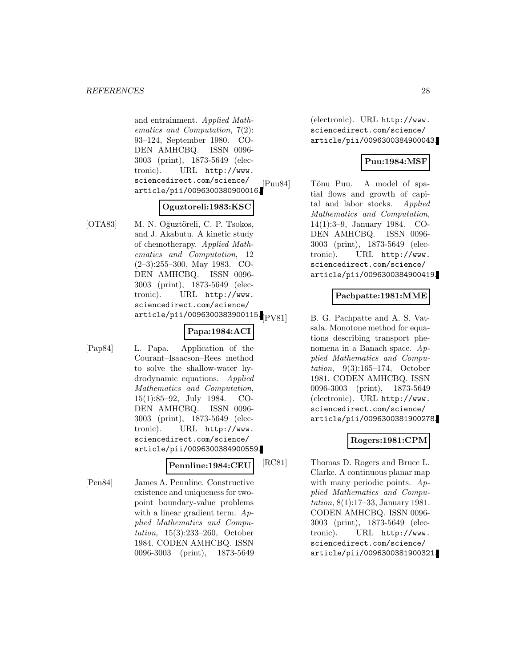and entrainment. Applied Mathematics and Computation, 7(2): 93–124, September 1980. CO-DEN AMHCBQ. ISSN 0096- 3003 (print), 1873-5649 (electronic). URL http://www. sciencedirect.com/science/ article/pii/0096300380900016.

#### **Oguztoreli:1983:KSC**

[OTA83] M. N. Oğuztöreli, C. P. Tsokos, and J. Akabutu. A kinetic study of chemotherapy. Applied Mathematics and Computation, 12 (2–3):255–300, May 1983. CO-DEN AMHCBQ. ISSN 0096- 3003 (print), 1873-5649 (electronic). URL http://www. sciencedirect.com/science/ article/pii/0096300383900115. $_{\rm [PV81]}$ 

## **Papa:1984:ACI**

[Pap84] L. Papa. Application of the Courant–Isaacson–Rees method to solve the shallow-water hydrodynamic equations. Applied Mathematics and Computation, 15(1):85–92, July 1984. CO-DEN AMHCBQ. ISSN 0096- 3003 (print), 1873-5649 (electronic). URL http://www. sciencedirect.com/science/ article/pii/0096300384900559.

## **Pennline:1984:CEU**

[Pen84] James A. Pennline. Constructive existence and uniqueness for twopoint boundary-value problems with a linear gradient term.  $Ap$ plied Mathematics and Computation, 15(3):233–260, October 1984. CODEN AMHCBQ. ISSN 0096-3003 (print), 1873-5649

(electronic). URL http://www. sciencedirect.com/science/ article/pii/0096300384900043.

## **Puu:1984:MSF**

[Puu84] Tönu Puu. A model of spatial flows and growth of capital and labor stocks. Applied Mathematics and Computation, 14(1):3–9, January 1984. CO-DEN AMHCBQ. ISSN 0096- 3003 (print), 1873-5649 (electronic). URL http://www. sciencedirect.com/science/ article/pii/0096300384900419.

#### **Pachpatte:1981:MME**

B. G. Pachpatte and A. S. Vatsala. Monotone method for equations describing transport phenomena in a Banach space. Applied Mathematics and Computation, 9(3):165–174, October 1981. CODEN AMHCBQ. ISSN 0096-3003 (print), 1873-5649 (electronic). URL http://www. sciencedirect.com/science/ article/pii/0096300381900278.

## **Rogers:1981:CPM**

[RC81] Thomas D. Rogers and Bruce L. Clarke. A continuous planar map with many periodic points.  $Ap$ plied Mathematics and Computation, 8(1):17–33, January 1981. CODEN AMHCBQ. ISSN 0096- 3003 (print), 1873-5649 (electronic). URL http://www. sciencedirect.com/science/ article/pii/0096300381900321.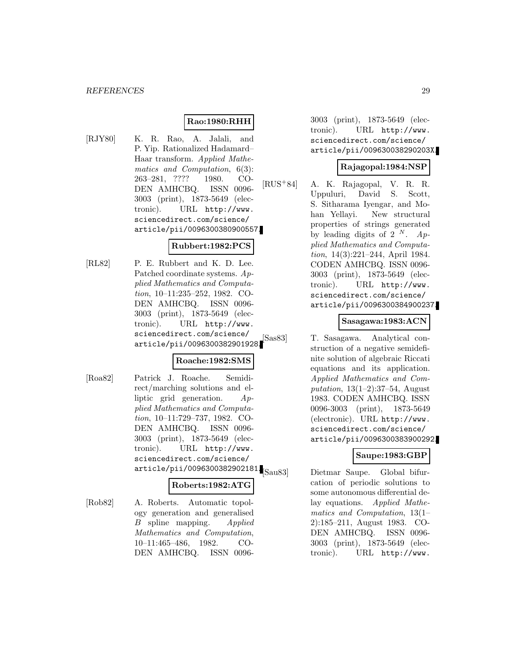## **Rao:1980:RHH**

[RJY80] K. R. Rao, A. Jalali, and P. Yip. Rationalized Hadamard– Haar transform. Applied Mathematics and Computation, 6(3): 263–281, ???? 1980. CO-DEN AMHCBQ. ISSN 0096- 3003 (print), 1873-5649 (electronic). URL http://www. sciencedirect.com/science/ article/pii/0096300380900557.

## **Rubbert:1982:PCS**

[RL82] P. E. Rubbert and K. D. Lee. Patched coordinate systems. Applied Mathematics and Computation, 10–11:235–252, 1982. CO-DEN AMHCBQ. ISSN 0096- 3003 (print), 1873-5649 (electronic). URL http://www. sciencedirect.com/science/ article/pii/0096300382901928.

## **Roache:1982:SMS**

[Roa82] Patrick J. Roache. Semidirect/marching solutions and elliptic grid generation. Applied Mathematics and Computation, 10–11:729–737, 1982. CO-DEN AMHCBQ. ISSN 0096- 3003 (print), 1873-5649 (electronic). URL http://www. sciencedirect.com/science/ article/pii/0096300382902181.<br>
Sau83

#### **Roberts:1982:ATG**

[Rob82] A. Roberts. Automatic topology generation and generalised B spline mapping. Applied Mathematics and Computation, 10–11:465–486, 1982. CO-DEN AMHCBQ. ISSN 0096-

3003 (print), 1873-5649 (electronic). URL http://www. sciencedirect.com/science/ article/pii/009630038290203X.

## **Rajagopal:1984:NSP**

[RUS<sup>+</sup>84] A. K. Rajagopal, V. R. R. Uppuluri, David S. Scott, S. Sitharama Iyengar, and Mohan Yellayi. New structural properties of strings generated by leading digits of 2  $^N$ . Applied Mathematics and Computation, 14(3):221–244, April 1984. CODEN AMHCBQ. ISSN 0096- 3003 (print), 1873-5649 (electronic). URL http://www. sciencedirect.com/science/ article/pii/0096300384900237.

#### **Sasagawa:1983:ACN**

[Sas83] T. Sasagawa. Analytical construction of a negative semidefinite solution of algebraic Riccati equations and its application. Applied Mathematics and Computation,  $13(1-2)$ :37-54, August 1983. CODEN AMHCBQ. ISSN 0096-3003 (print), 1873-5649 (electronic). URL http://www. sciencedirect.com/science/ article/pii/0096300383900292.

## **Saupe:1983:GBP**

Dietmar Saupe. Global bifurcation of periodic solutions to some autonomous differential delay equations. Applied Mathematics and Computation, 13(1– 2):185–211, August 1983. CO-DEN AMHCBQ. ISSN 0096- 3003 (print), 1873-5649 (electronic). URL http://www.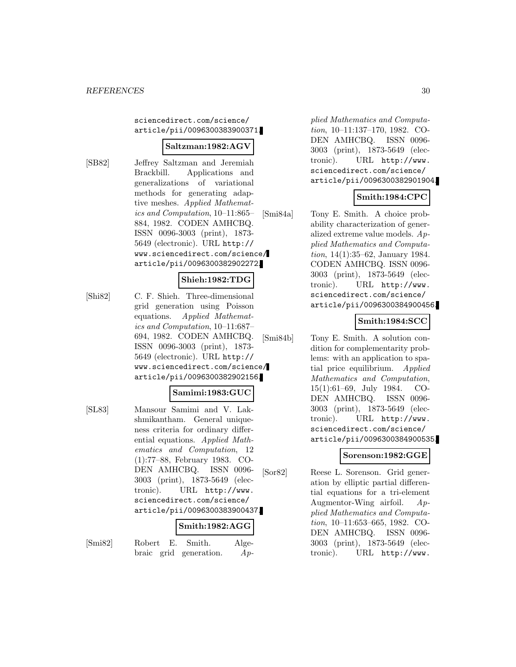sciencedirect.com/science/ article/pii/0096300383900371.

#### **Saltzman:1982:AGV**

[SB82] Jeffrey Saltzman and Jeremiah Brackbill. Applications and generalizations of variational methods for generating adaptive meshes. Applied Mathematics and Computation, 10–11:865– 884, 1982. CODEN AMHCBQ. ISSN 0096-3003 (print), 1873- 5649 (electronic). URL http:// www.sciencedirect.com/science/ article/pii/0096300382902272.

## **Shieh:1982:TDG**

[Shi82] C. F. Shieh. Three-dimensional grid generation using Poisson equations. Applied Mathematics and Computation, 10–11:687– 694, 1982. CODEN AMHCBQ. ISSN 0096-3003 (print), 1873- 5649 (electronic). URL http:// www.sciencedirect.com/science/ article/pii/0096300382902156.

#### **Samimi:1983:GUC**

[SL83] Mansour Samimi and V. Lakshmikantham. General uniqueness criteria for ordinary differential equations. Applied Mathematics and Computation, 12 (1):77–88, February 1983. CO-DEN AMHCBQ. ISSN 0096- 3003 (print), 1873-5649 (electronic). URL http://www. sciencedirect.com/science/ article/pii/0096300383900437.

#### **Smith:1982:AGG**

[Smi82] Robert E. Smith. Algebraic grid generation. Ap-

plied Mathematics and Computation, 10–11:137–170, 1982. CO-DEN AMHCBQ. ISSN 0096- 3003 (print), 1873-5649 (electronic). URL http://www. sciencedirect.com/science/ article/pii/0096300382901904.

## **Smith:1984:CPC**

[Smi84a] Tony E. Smith. A choice probability characterization of generalized extreme value models. Applied Mathematics and Computation, 14(1):35–62, January 1984. CODEN AMHCBQ. ISSN 0096- 3003 (print), 1873-5649 (electronic). URL http://www. sciencedirect.com/science/ article/pii/0096300384900456.

## **Smith:1984:SCC**

[Smi84b] Tony E. Smith. A solution condition for complementarity problems: with an application to spatial price equilibrium. Applied Mathematics and Computation, 15(1):61–69, July 1984. CO-DEN AMHCBQ. ISSN 0096- 3003 (print), 1873-5649 (electronic). URL http://www. sciencedirect.com/science/ article/pii/0096300384900535.

## **Sorenson:1982:GGE**

[Sor82] Reese L. Sorenson. Grid generation by elliptic partial differential equations for a tri-element Augmentor-Wing airfoil. Applied Mathematics and Computation, 10–11:653–665, 1982. CO-DEN AMHCBQ. ISSN 0096- 3003 (print), 1873-5649 (electronic). URL http://www.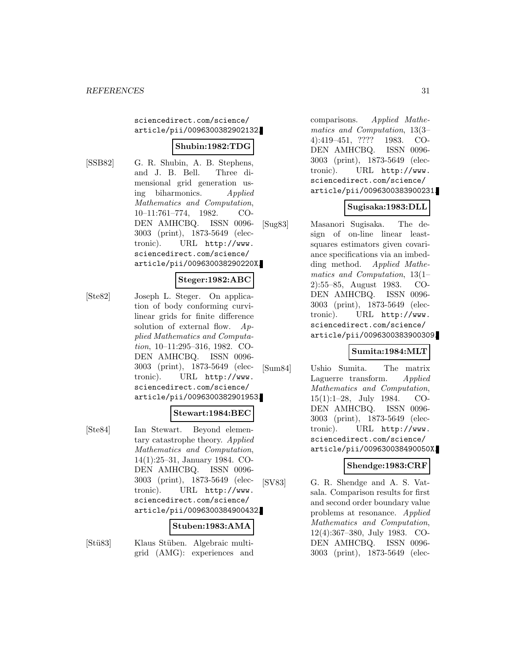#### sciencedirect.com/science/ article/pii/0096300382902132.

## **Shubin:1982:TDG**

[SSB82] G. R. Shubin, A. B. Stephens, and J. B. Bell. Three dimensional grid generation using biharmonics. Applied Mathematics and Computation, 10–11:761–774, 1982. CO-DEN AMHCBQ. ISSN 0096- 3003 (print), 1873-5649 (electronic). URL http://www. sciencedirect.com/science/ article/pii/009630038290220X.

#### **Steger:1982:ABC**

[Ste82] Joseph L. Steger. On application of body conforming curvilinear grids for finite difference solution of external flow.  $Ap$ plied Mathematics and Computation, 10–11:295–316, 1982. CO-DEN AMHCBQ. ISSN 0096- 3003 (print), 1873-5649 (electronic). URL http://www. sciencedirect.com/science/ article/pii/0096300382901953.

#### **Stewart:1984:BEC**

[Ste84] Ian Stewart. Beyond elementary catastrophe theory. Applied Mathematics and Computation, 14(1):25–31, January 1984. CO-DEN AMHCBQ. ISSN 0096- 3003 (print), 1873-5649 (electronic). URL http://www. sciencedirect.com/science/ article/pii/0096300384900432.

#### **Stuben:1983:AMA**

[Stü83] Klaus Stüben. Algebraic multigrid (AMG): experiences and

comparisons. Applied Mathematics and Computation, 13(3– 4):419–451, ???? 1983. CO-DEN AMHCBQ. ISSN 0096- 3003 (print), 1873-5649 (electronic). URL http://www. sciencedirect.com/science/ article/pii/0096300383900231.

## **Sugisaka:1983:DLL**

[Sug83] Masanori Sugisaka. The design of on-line linear leastsquares estimators given covariance specifications via an imbedding method. Applied Mathematics and Computation, 13(1– 2):55–85, August 1983. CO-DEN AMHCBQ. ISSN 0096- 3003 (print), 1873-5649 (electronic). URL http://www. sciencedirect.com/science/ article/pii/0096300383900309.

## **Sumita:1984:MLT**

[Sum84] Ushio Sumita. The matrix Laguerre transform. Applied Mathematics and Computation, 15(1):1–28, July 1984. CO-DEN AMHCBQ. ISSN 0096- 3003 (print), 1873-5649 (electronic). URL http://www. sciencedirect.com/science/ article/pii/009630038490050X.

## **Shendge:1983:CRF**

[SV83] G. R. Shendge and A. S. Vatsala. Comparison results for first and second order boundary value problems at resonance. Applied Mathematics and Computation, 12(4):367–380, July 1983. CO-DEN AMHCBQ. ISSN 0096- 3003 (print), 1873-5649 (elec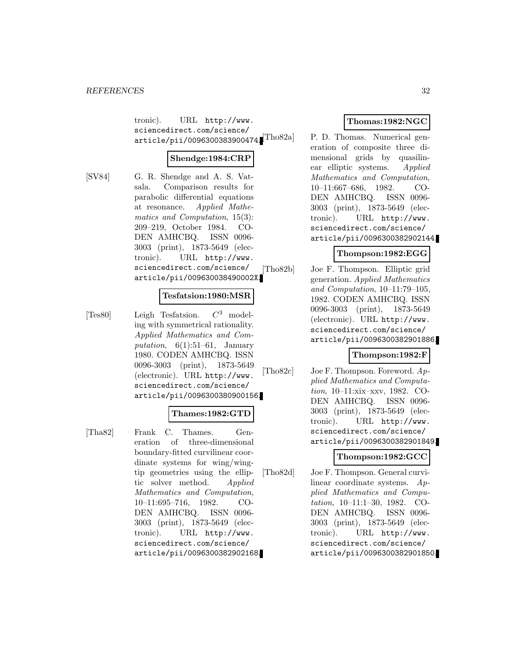tronic). URL http://www. sciencedirect.com/science/  $\texttt{article/pii/0096300383900474.}$  [Tho  $\text{82a}$ ]

## **Shendge:1984:CRP**

- 
- [SV84] G. R. Shendge and A. S. Vatsala. Comparison results for parabolic differential equations at resonance. Applied Mathematics and Computation, 15(3): 209–219, October 1984. CO-DEN AMHCBQ. ISSN 0096- 3003 (print), 1873-5649 (electronic). URL http://www. sciencedirect.com/science/ article/pii/009630038490002X.

## **Tesfatsion:1980:MSR**

[Tes80] Leigh Tesfatsion.  $C^3$  modeling with symmetrical rationality. Applied Mathematics and Computation,  $6(1):51-61$ , January 1980. CODEN AMHCBQ. ISSN 0096-3003 (print), 1873-5649 (electronic). URL http://www. sciencedirect.com/science/ article/pii/0096300380900156.

## **Thames:1982:GTD**

[Tha82] Frank C. Thames. Generation of three-dimensional boundary-fitted curvilinear coordinate systems for wing/wingtip geometries using the elliptic solver method. Applied Mathematics and Computation, 10–11:695–716, 1982. CO-DEN AMHCBQ. ISSN 0096- 3003 (print), 1873-5649 (electronic). URL http://www. sciencedirect.com/science/ article/pii/0096300382902168.

## **Thomas:1982:NGC**

P. D. Thomas. Numerical generation of composite three dimensional grids by quasilinear elliptic systems. Applied Mathematics and Computation, 10–11:667–686, 1982. CO-DEN AMHCBQ. ISSN 0096- 3003 (print), 1873-5649 (electronic). URL http://www. sciencedirect.com/science/ article/pii/0096300382902144.

## **Thompson:1982:EGG**

[Tho82b] Joe F. Thompson. Elliptic grid generation. Applied Mathematics and Computation, 10–11:79–105, 1982. CODEN AMHCBQ. ISSN 0096-3003 (print), 1873-5649 (electronic). URL http://www. sciencedirect.com/science/ article/pii/0096300382901886.

## **Thompson:1982:F**

[Tho82c] Joe F. Thompson. Foreword. Applied Mathematics and Computation, 10–11:xix–xxv, 1982. CO-DEN AMHCBQ. ISSN 0096- 3003 (print), 1873-5649 (electronic). URL http://www. sciencedirect.com/science/ article/pii/0096300382901849.

## **Thompson:1982:GCC**

[Tho82d] Joe F. Thompson. General curvilinear coordinate systems. Applied Mathematics and Computation, 10–11:1–30, 1982. CO-DEN AMHCBQ. ISSN 0096- 3003 (print), 1873-5649 (electronic). URL http://www. sciencedirect.com/science/ article/pii/0096300382901850.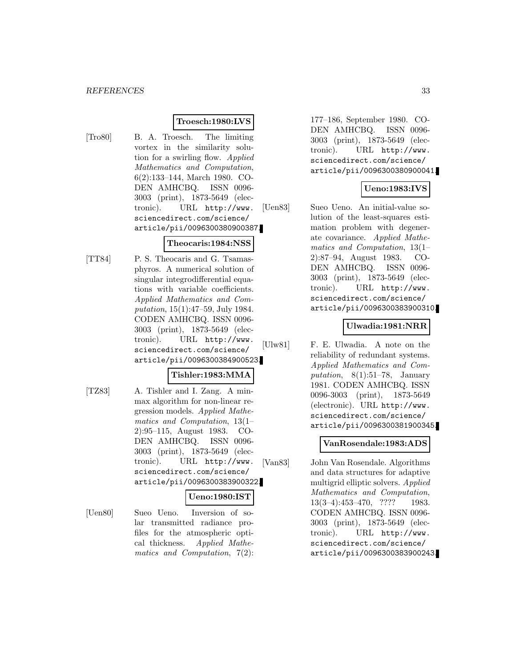## **Troesch:1980:LVS**

[Tro80] B. A. Troesch. The limiting vortex in the similarity solution for a swirling flow. Applied Mathematics and Computation, 6(2):133–144, March 1980. CO-DEN AMHCBQ. ISSN 0096- 3003 (print), 1873-5649 (electronic). URL http://www. sciencedirect.com/science/ article/pii/0096300380900387.

## **Theocaris:1984:NSS**

[TT84] P. S. Theocaris and G. Tsamasphyros. A numerical solution of singular integrodifferential equations with variable coefficients. Applied Mathematics and Computation, 15(1):47–59, July 1984. CODEN AMHCBQ. ISSN 0096- 3003 (print), 1873-5649 (electronic). URL http://www. sciencedirect.com/science/ article/pii/0096300384900523.

## **Tishler:1983:MMA**

[TZ83] A. Tishler and I. Zang. A minmax algorithm for non-linear regression models. Applied Mathematics and Computation, 13(1– 2):95–115, August 1983. CO-DEN AMHCBQ. ISSN 0096- 3003 (print), 1873-5649 (electronic). URL http://www. sciencedirect.com/science/ article/pii/0096300383900322.

## **Ueno:1980:IST**

[Uen80] Sueo Ueno. Inversion of solar transmitted radiance profiles for the atmospheric optical thickness. Applied Mathematics and Computation, 7(2):

177–186, September 1980. CO-DEN AMHCBQ. ISSN 0096- 3003 (print), 1873-5649 (electronic). URL http://www. sciencedirect.com/science/ article/pii/0096300380900041.

## **Ueno:1983:IVS**

[Uen83] Sueo Ueno. An initial-value solution of the least-squares estimation problem with degenerate covariance. Applied Mathematics and Computation, 13(1– 2):87–94, August 1983. CO-DEN AMHCBQ. ISSN 0096- 3003 (print), 1873-5649 (electronic). URL http://www. sciencedirect.com/science/ article/pii/0096300383900310.

#### **Ulwadia:1981:NRR**

[Ulw81] F. E. Ulwadia. A note on the reliability of redundant systems. Applied Mathematics and Computation,  $8(1):51-78$ , January 1981. CODEN AMHCBQ. ISSN 0096-3003 (print), 1873-5649 (electronic). URL http://www. sciencedirect.com/science/ article/pii/0096300381900345.

## **VanRosendale:1983:ADS**

[Van83] John Van Rosendale. Algorithms and data structures for adaptive multigrid elliptic solvers. Applied Mathematics and Computation, 13(3–4):453–470, ???? 1983. CODEN AMHCBQ. ISSN 0096- 3003 (print), 1873-5649 (electronic). URL http://www. sciencedirect.com/science/ article/pii/0096300383900243.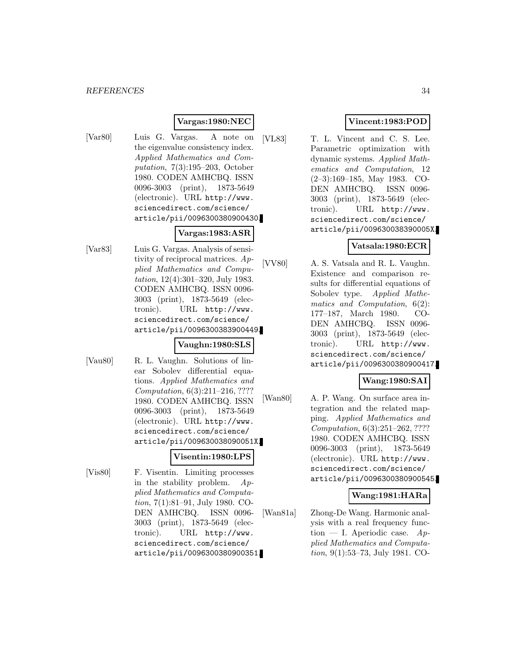## **Vargas:1980:NEC**

[Var80] Luis G. Vargas. A note on the eigenvalue consistency index. Applied Mathematics and Computation, 7(3):195–203, October 1980. CODEN AMHCBQ. ISSN 0096-3003 (print), 1873-5649 (electronic). URL http://www. sciencedirect.com/science/ article/pii/0096300380900430.

## **Vargas:1983:ASR**

[Var83] Luis G. Vargas. Analysis of sensitivity of reciprocal matrices. Applied Mathematics and Computation, 12(4):301–320, July 1983. CODEN AMHCBQ. ISSN 0096- 3003 (print), 1873-5649 (electronic). URL http://www. sciencedirect.com/science/ article/pii/0096300383900449.

#### **Vaughn:1980:SLS**

[Vau80] R. L. Vaughn. Solutions of linear Sobolev differential equations. Applied Mathematics and Computation, 6(3):211–216, ???? 1980. CODEN AMHCBQ. ISSN 0096-3003 (print), 1873-5649 (electronic). URL http://www. sciencedirect.com/science/ article/pii/009630038090051X.

#### **Visentin:1980:LPS**

[Vis80] F. Visentin. Limiting processes in the stability problem.  $Ap$ plied Mathematics and Computation, 7(1):81–91, July 1980. CO-DEN AMHCBQ. ISSN 0096- 3003 (print), 1873-5649 (electronic). URL http://www. sciencedirect.com/science/ article/pii/0096300380900351.

## **Vincent:1983:POD**

[VL83] T. L. Vincent and C. S. Lee. Parametric optimization with dynamic systems. Applied Mathematics and Computation, 12 (2–3):169–185, May 1983. CO-DEN AMHCBQ. ISSN 0096- 3003 (print), 1873-5649 (electronic). URL http://www. sciencedirect.com/science/ article/pii/009630038390005X.

## **Vatsala:1980:ECR**

[VV80] A. S. Vatsala and R. L. Vaughn. Existence and comparison results for differential equations of Sobolev type. Applied Mathematics and Computation, 6(2): 177–187, March 1980. CO-DEN AMHCBQ. ISSN 0096- 3003 (print), 1873-5649 (electronic). URL http://www. sciencedirect.com/science/ article/pii/0096300380900417.

## **Wang:1980:SAI**

[Wan80] A. P. Wang. On surface area integration and the related mapping. Applied Mathematics and Computation, 6(3):251–262, ???? 1980. CODEN AMHCBQ. ISSN 0096-3003 (print), 1873-5649 (electronic). URL http://www. sciencedirect.com/science/ article/pii/0096300380900545.

## **Wang:1981:HARa**

[Wan81a] Zhong-De Wang. Harmonic analysis with a real frequency function — I. Aperiodic case.  $Ap$ plied Mathematics and Computation, 9(1):53–73, July 1981. CO-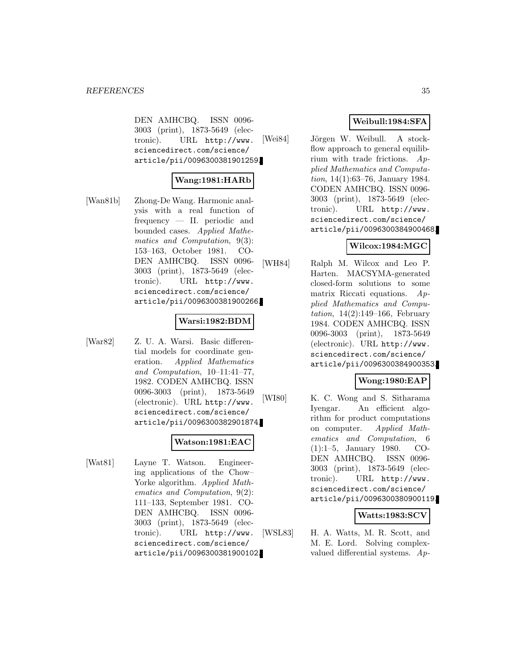DEN AMHCBQ. ISSN 0096- 3003 (print), 1873-5649 (electronic). URL http://www. sciencedirect.com/science/ article/pii/0096300381901259.

## **Wang:1981:HARb**

[Wan81b] Zhong-De Wang. Harmonic analysis with a real function of frequency — II. periodic and bounded cases. Applied Mathematics and Computation, 9(3): 153–163, October 1981. CO-DEN AMHCBQ. ISSN 0096- 3003 (print), 1873-5649 (electronic). URL http://www. sciencedirect.com/science/ article/pii/0096300381900266.

#### **Warsi:1982:BDM**

[War82] Z. U. A. Warsi. Basic differential models for coordinate generation. Applied Mathematics and Computation, 10–11:41–77, 1982. CODEN AMHCBQ. ISSN 0096-3003 (print), 1873-5649 (electronic). URL http://www. sciencedirect.com/science/ article/pii/0096300382901874.

#### **Watson:1981:EAC**

[Wat81] Layne T. Watson. Engineering applications of the Chow– Yorke algorithm. Applied Mathematics and Computation, 9(2): 111–133, September 1981. CO-DEN AMHCBQ. ISSN 0096- 3003 (print), 1873-5649 (electronic). URL http://www. sciencedirect.com/science/ article/pii/0096300381900102.

## **Weibull:1984:SFA**

[Wei84] Jörgen W. Weibull. A stockflow approach to general equilibrium with trade frictions. Applied Mathematics and Computation, 14(1):63–76, January 1984. CODEN AMHCBQ. ISSN 0096- 3003 (print), 1873-5649 (electronic). URL http://www. sciencedirect.com/science/ article/pii/0096300384900468.

## **Wilcox:1984:MGC**

[WH84] Ralph M. Wilcox and Leo P. Harten. MACSYMA-generated closed-form solutions to some matrix Riccati equations. Applied Mathematics and Compu*tation*,  $14(2):149-166$ , February 1984. CODEN AMHCBQ. ISSN 0096-3003 (print), 1873-5649 (electronic). URL http://www. sciencedirect.com/science/ article/pii/0096300384900353.

## **Wong:1980:EAP**

[WI80] K. C. Wong and S. Sitharama Iyengar. An efficient algorithm for product computations on computer. Applied Mathematics and Computation, 6 (1):1–5, January 1980. CO-DEN AMHCBQ. ISSN 0096- 3003 (print), 1873-5649 (electronic). URL http://www. sciencedirect.com/science/ article/pii/0096300380900119.

## **Watts:1983:SCV**

[WSL83] H. A. Watts, M. R. Scott, and M. E. Lord. Solving complexvalued differential systems. Ap